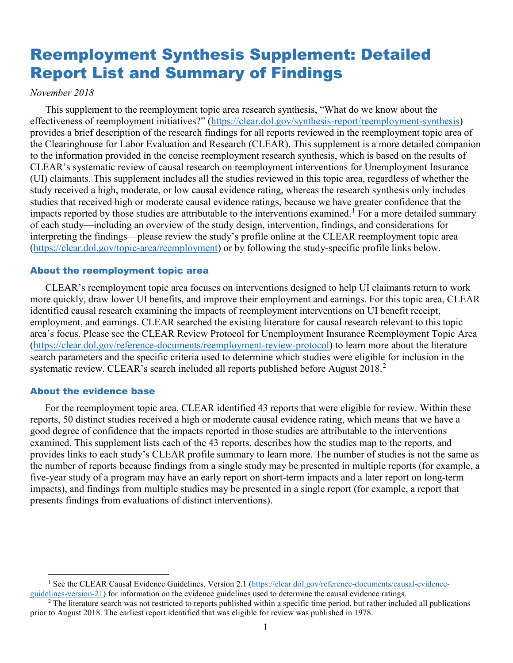# Reemployment Synthesis Supplement: Detailed Report List and Summary of Findings

#### *November 2018*

This supplement to the reemployment topic area research synthesis, "What do we know about the effectiveness of reemployment initiatives?" [\(https://clear.dol.gov/synthesis-report/reemployment-synthesis\)](https://clear.dol.gov/synthesis-report/reemployment-synthesis) provides a brief description of the research findings for all reports reviewed in the reemployment topic area of the Clearinghouse for Labor Evaluation and Research (CLEAR). This supplement is a more detailed companion to the information provided in the concise reemployment research synthesis, which is based on the results of CLEAR's systematic review of causal research on reemployment interventions for Unemployment Insurance (UI) claimants. This supplement includes all the studies reviewed in this topic area, regardless of whether the study received a high, moderate, or low causal evidence rating, whereas the research synthesis only includes studies that received high or moderate causal evidence ratings, because we have greater confidence that the impacts reported by those studies are attributable to the interventions examined.<sup>[1](#page-0-0)</sup> For a more detailed summary of each study—including an overview of the study design, intervention, findings, and considerations for interpreting the findings—please review the study's profile online at the CLEAR reemployment topic area [\(https://clear.dol.gov/topic-area/reemployment\)](https://clear.dol.gov/topic-area/reemployment) or by following the study-specific profile links below.

#### About the reemployment topic area

CLEAR's reemployment topic area focuses on interventions designed to help UI claimants return to work more quickly, draw lower UI benefits, and improve their employment and earnings. For this topic area, CLEAR identified causal research examining the impacts of reemployment interventions on UI benefit receipt, employment, and earnings. CLEAR searched the existing literature for causal research relevant to this topic area's focus. Please see the CLEAR Review Protocol for Unemployment Insurance Reemployment Topic Area [\(https://clear.dol.gov/reference-documents/reemployment-review-protocol\)](https://clear.dol.gov/reference-documents/reemployment-review-protocol) to learn more about the literature search parameters and the specific criteria used to determine which studies were eligible for inclusion in the systematic review. CLEAR's search included all reports published before August [2](#page-0-1)018.<sup>2</sup>

#### About the evidence base

 $\overline{a}$ 

For the reemployment topic area, CLEAR identified 43 reports that were eligible for review. Within these reports, 50 distinct studies received a high or moderate causal evidence rating, which means that we have a good degree of confidence that the impacts reported in those studies are attributable to the interventions examined. This supplement lists each of the 43 reports, describes how the studies map to the reports, and provides links to each study's CLEAR profile summary to learn more. The number of studies is not the same as the number of reports because findings from a single study may be presented in multiple reports (for example, a five-year study of a program may have an early report on short-term impacts and a later report on long-term impacts), and findings from multiple studies may be presented in a single report (for example, a report that presents findings from evaluations of distinct interventions).

<span id="page-0-0"></span><sup>&</sup>lt;sup>1</sup> See the CLEAR Causal Evidence Guidelines, Version 2.1 (https://clear.dol.gov/reference-documents/causal-evidence-guidelines-version-21) for information on the evidence guidelines used to determine the causal evidence r

<span id="page-0-1"></span><sup>&</sup>lt;sup>2</sup> The literature search was not restricted to reports published within a specific time period, but rather included all publications prior to August 2018. The earliest report identified that was eligible for review was published in 1978.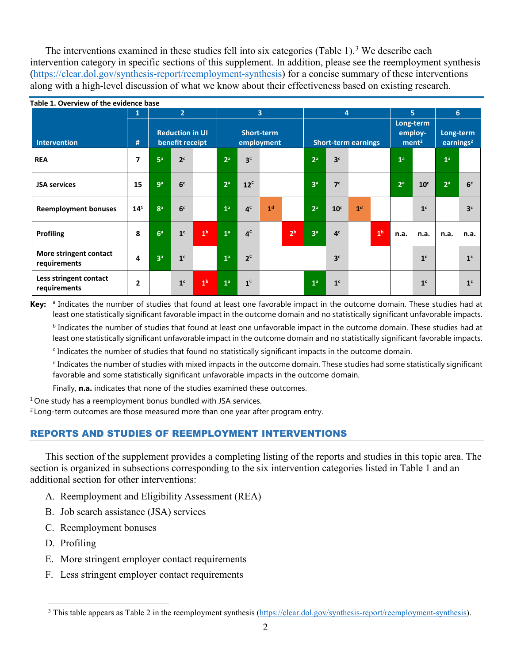The interventions examined in these studies fell into six categories (Table 1).<sup>[3](#page-1-0)</sup> We describe each intervention category in specific sections of this supplement. In addition, please see the reemployment synthesis [\(https://clear.dol.gov/synthesis-report/reemployment-synthesis\)](https://clear.dol.gov/synthesis-report/reemployment-synthesis) for a concise summary of these interventions along with a high-level discussion of what we know about their effectiveness based on existing research.

| Table 1. Overview of the evidence base |                |                |                                           |                |                                 |                |                |                |                            |                 |                |                |                                           |                 |                           |                |
|----------------------------------------|----------------|----------------|-------------------------------------------|----------------|---------------------------------|----------------|----------------|----------------|----------------------------|-----------------|----------------|----------------|-------------------------------------------|-----------------|---------------------------|----------------|
|                                        | 1              | $\overline{2}$ |                                           |                | $\overline{3}$                  |                |                |                | 4                          |                 |                | 5              |                                           | 6               |                           |                |
| <b>Intervention</b>                    | #              |                | <b>Reduction in UI</b><br>benefit receipt |                | <b>Short-term</b><br>employment |                |                |                | <b>Short-term earnings</b> |                 |                |                | Long-term<br>employ-<br>ment <sup>2</sup> |                 | Long-term<br>earnings $2$ |                |
| <b>REA</b>                             | 7              | 5 <sup>a</sup> | 2 <sup>c</sup>                            |                | 2 <sup>a</sup>                  | 3 <sup>c</sup> |                |                | 2 <sup>a</sup>             | 3 <sup>c</sup>  |                |                | 1 <sup>a</sup>                            |                 | 1 <sup>a</sup>            |                |
| <b>JSA services</b>                    | 15             | g <sub>a</sub> | 6 <sup>c</sup>                            |                | 2 <sup>a</sup>                  | $12^c$         |                |                | 3 <sup>a</sup>             | 7 <sup>c</sup>  |                |                | 2 <sup>a</sup>                            | 10 <sup>c</sup> | 2 <sup>a</sup>            | 6 <sup>c</sup> |
| <b>Reemployment bonuses</b>            | $14^{1}$       | 8 <sup>a</sup> | 6 <sup>c</sup>                            |                | 1 <sup>a</sup>                  | 4 <sup>c</sup> | 1 <sup>d</sup> |                | $2^a$                      | 10 <sup>c</sup> | 1 <sup>d</sup> |                |                                           | 1 <sup>c</sup>  |                           | 3 <sup>c</sup> |
| <b>Profiling</b>                       | 8              | 6 <sup>a</sup> | 1 <sup>c</sup>                            | 1 <sup>b</sup> | 1 <sup>a</sup>                  | 4 <sup>c</sup> |                | 2 <sup>b</sup> | 3 <sup>a</sup>             | 4 <sup>c</sup>  |                | 1 <sup>b</sup> | n.a.                                      | n.a.            | n.a.                      | n.a.           |
| More stringent contact<br>requirements | 4              | 3 <sup>a</sup> | 1 <sup>c</sup>                            |                | 1 <sup>a</sup>                  | 2 <sup>c</sup> |                |                |                            | 3 <sup>c</sup>  |                |                |                                           | 1 <sup>c</sup>  |                           | 1 <sup>c</sup> |
| Less stringent contact<br>requirements | $\overline{2}$ |                | 1 <sup>c</sup>                            | 1 <sup>b</sup> | 1 <sup>a</sup>                  | 1 <sup>c</sup> |                |                | 1 <sup>a</sup>             | 1 <sup>c</sup>  |                |                |                                           | 1 <sup>c</sup>  |                           | 1 <sup>c</sup> |

Key: <sup>a</sup> Indicates the number of studies that found at least one favorable impact in the outcome domain. These studies had at least one statistically significant favorable impact in the outcome domain and no statistically significant unfavorable impacts.

b Indicates the number of studies that found at least one unfavorable impact in the outcome domain. These studies had at least one statistically significant unfavorable impact in the outcome domain and no statistically significant favorable impacts.

Indicates the number of studies that found no statistically significant impacts in the outcome domain.

<sup>d</sup> Indicates the number of studies with mixed impacts in the outcome domain. These studies had some statistically significant favorable and some statistically significant unfavorable impacts in the outcome domain.

Finally, **n.a.** indicates that none of the studies examined these outcomes.

 $1$  One study has a reemployment bonus bundled with JSA services.

 $2$  Long-term outcomes are those measured more than one year after program entry.

#### REPORTS AND STUDIES OF REEMPLOYMENT INTERVENTIONS

This section of the supplement provides a completing listing of the reports and studies in this topic area. The section is organized in subsections corresponding to the six intervention categories listed in Table 1 and an additional section for other interventions:

- A. Reemployment and Eligibility Assessment (REA)
- B. Job search assistance (JSA) services
- C. Reemployment bonuses
- D. Profiling

 $\overline{a}$ 

- E. More stringent employer contact requirements
- F. Less stringent employer contact requirements

<span id="page-1-0"></span><sup>&</sup>lt;sup>3</sup> This table appears as Table 2 in the reemployment synthesis [\(https://clear.dol.gov/synthesis-report/reemployment-synthesis\)](https://clear.dol.gov/synthesis-report/reemployment-synthesis).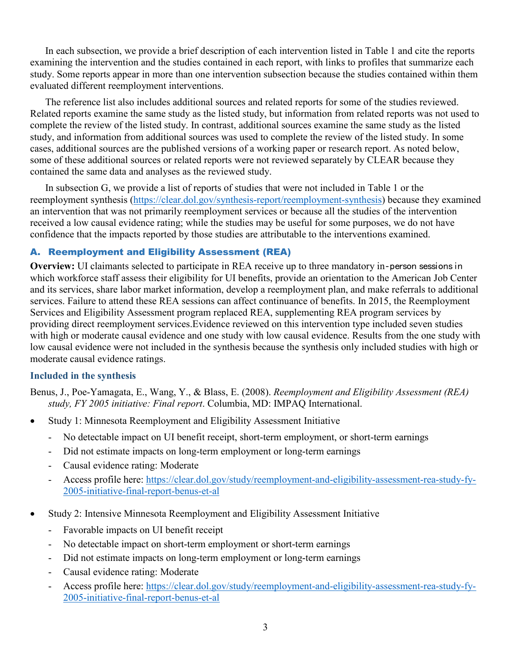In each subsection, we provide a brief description of each intervention listed in Table 1 and cite the reports examining the intervention and the studies contained in each report, with links to profiles that summarize each study. Some reports appear in more than one intervention subsection because the studies contained within them evaluated different reemployment interventions.

The reference list also includes additional sources and related reports for some of the studies reviewed. Related reports examine the same study as the listed study, but information from related reports was not used to complete the review of the listed study. In contrast, additional sources examine the same study as the listed study, and information from additional sources was used to complete the review of the listed study. In some cases, additional sources are the published versions of a working paper or research report. As noted below, some of these additional sources or related reports were not reviewed separately by CLEAR because they contained the same data and analyses as the reviewed study.

In subsection G, we provide a list of reports of studies that were not included in Table 1 or the reemployment synthesis [\(https://clear.dol.gov/synthesis-report/reemployment-synthesis\)](https://clear.dol.gov/synthesis-report/reemployment-synthesis) because they examined an intervention that was not primarily reemployment services or because all the studies of the intervention received a low causal evidence rating; while the studies may be useful for some purposes, we do not have confidence that the impacts reported by those studies are attributable to the interventions examined.

## A. Reemployment and Eligibility Assessment (REA)

**Overview:** UI claimants selected to participate in REA receive up to three mandatory in-person sessions in which workforce staff assess their eligibility for UI benefits, provide an orientation to the American Job Center and its services, share labor market information, develop a reemployment plan, and make referrals to additional services. Failure to attend these REA sessions can affect continuance of benefits. In 2015, the Reemployment Services and Eligibility Assessment program replaced REA, supplementing REA program services by providing direct reemployment services.Evidence reviewed on this intervention type included seven studies with high or moderate causal evidence and one study with low causal evidence. Results from the one study with low causal evidence were not included in the synthesis because the synthesis only included studies with high or moderate causal evidence ratings.

## **Included in the synthesis**

Benus, J., Poe-Yamagata, E., Wang, Y., & Blass, E. (2008). *Reemployment and Eligibility Assessment (REA) study, FY 2005 initiative: Final report*. Columbia, MD: IMPAQ International.

- Study 1: Minnesota Reemployment and Eligibility Assessment Initiative
	- No detectable impact on UI benefit receipt, short-term employment, or short-term earnings
	- Did not estimate impacts on long-term employment or long-term earnings
	- Causal evidence rating: Moderate
	- Access profile here: [https://clear.dol.gov/study/reemployment-and-eligibility-assessment-rea-study-fy-](https://clear.dol.gov/study/reemployment-and-eligibility-assessment-rea-study-fy-2005-initiative-final-report-benus-et-al)[2005-initiative-final-report-benus-et-al](https://clear.dol.gov/study/reemployment-and-eligibility-assessment-rea-study-fy-2005-initiative-final-report-benus-et-al)
- Study 2: Intensive Minnesota Reemployment and Eligibility Assessment Initiative
	- Favorable impacts on UI benefit receipt
	- No detectable impact on short-term employment or short-term earnings
	- Did not estimate impacts on long-term employment or long-term earnings
	- Causal evidence rating: Moderate
	- Access profile here: [https://clear.dol.gov/study/reemployment-and-eligibility-assessment-rea-study-fy-](https://clear.dol.gov/study/reemployment-and-eligibility-assessment-rea-study-fy-2005-initiative-final-report-benus-et-al)[2005-initiative-final-report-benus-et-al](https://clear.dol.gov/study/reemployment-and-eligibility-assessment-rea-study-fy-2005-initiative-final-report-benus-et-al)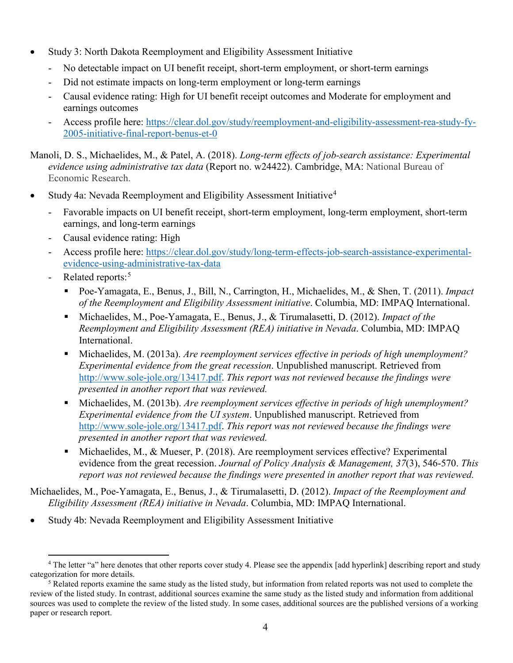- Study 3: North Dakota Reemployment and Eligibility Assessment Initiative
	- No detectable impact on UI benefit receipt, short-term employment, or short-term earnings
	- Did not estimate impacts on long-term employment or long-term earnings
	- Causal evidence rating: High for UI benefit receipt outcomes and Moderate for employment and earnings outcomes
	- Access profile here: [https://clear.dol.gov/study/reemployment-and-eligibility-assessment-rea-study-fy-](https://clear.dol.gov/study/reemployment-and-eligibility-assessment-rea-study-fy-2005-initiative-final-report-benus-et-0)[2005-initiative-final-report-benus-et-0](https://clear.dol.gov/study/reemployment-and-eligibility-assessment-rea-study-fy-2005-initiative-final-report-benus-et-0)

Manoli, D. S., Michaelides, M., & Patel, A. (2018). *Long-term effects of job-search assistance: Experimental evidence using administrative tax data* (Report no. w24422). Cambridge, MA: National Bureau of Economic Research.

- Study [4](#page-3-0)a: Nevada Reemployment and Eligibility Assessment Initiative<sup>4</sup>
	- Favorable impacts on UI benefit receipt, short-term employment, long-term employment, short-term earnings, and long-term earnings
	- Causal evidence rating: High
	- Access profile here: [https://clear.dol.gov/study/long-term-effects-job-search-assistance-experimental](https://clear.dol.gov/study/long-term-effects-job-search-assistance-experimental-evidence-using-administrative-tax-data)[evidence-using-administrative-tax-data](https://clear.dol.gov/study/long-term-effects-job-search-assistance-experimental-evidence-using-administrative-tax-data)
	- Related reports:<sup>[5](#page-3-1)</sup>
		- Poe-Yamagata, E., Benus, J., Bill, N., Carrington, H., Michaelides, M., & Shen, T. (2011). *Impact of the Reemployment and Eligibility Assessment initiative*. Columbia, MD: IMPAQ International.
		- Michaelides, M., Poe-Yamagata, E., Benus, J., & Tirumalasetti, D. (2012). *Impact of the Reemployment and Eligibility Assessment (REA) initiative in Nevada*. Columbia, MD: IMPAQ International.
		- Michaelides, M. (2013a). *Are reemployment services effective in periods of high unemployment? Experimental evidence from the great recession*. Unpublished manuscript. Retrieved from [http://www.sole-jole.org/13417.pdf.](http://www.sole-jole.org/13417.pdf) *This report was not reviewed because the findings were presented in another report that was reviewed.*
		- Michaelides, M. (2013b). *Are reemployment services effective in periods of high unemployment? Experimental evidence from the UI system*. Unpublished manuscript. Retrieved from [http://www.sole-jole.org/13417.pdf.](http://www.sole-jole.org/13417.pdf) *This report was not reviewed because the findings were presented in another report that was reviewed.*
		- Michaelides, M., & Mueser, P. (2018). Are reemployment services effective? Experimental evidence from the great recession. *Journal of Policy Analysis & Management, 37*(3), 546-570. *This report was not reviewed because the findings were presented in another report that was reviewed.*

Michaelides, M., Poe-Yamagata, E., Benus, J., & Tirumalasetti, D. (2012). *Impact of the Reemployment and Eligibility Assessment (REA) initiative in Nevada*. Columbia, MD: IMPAQ International.

• Study 4b: Nevada Reemployment and Eligibility Assessment Initiative

<span id="page-3-0"></span> $\overline{a}$ <sup>4</sup> The letter "a" here denotes that other reports cover study 4. Please see the appendix [add hyperlink] describing report and study categorization for more details.

<span id="page-3-1"></span><sup>&</sup>lt;sup>5</sup> Related reports examine the same study as the listed study, but information from related reports was not used to complete the review of the listed study. In contrast, additional sources examine the same study as the listed study and information from additional sources was used to complete the review of the listed study. In some cases, additional sources are the published versions of a working paper or research report.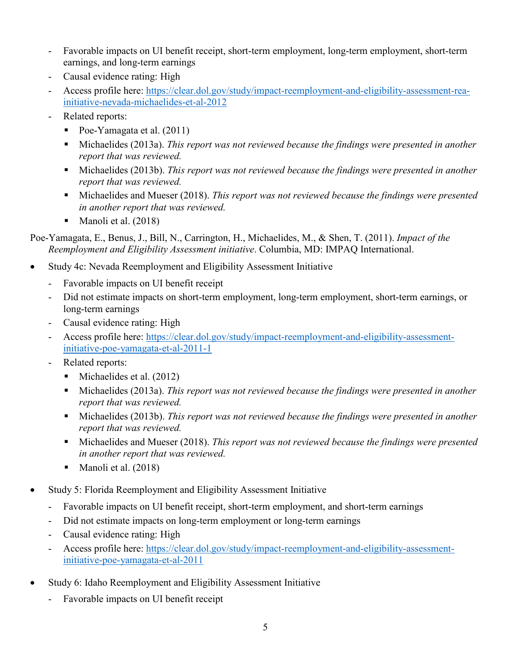- Favorable impacts on UI benefit receipt, short-term employment, long-term employment, short-term earnings, and long-term earnings
- Causal evidence rating: High
- Access profile here: [https://clear.dol.gov/study/impact-reemployment-and-eligibility-assessment-rea](https://clear.dol.gov/study/impact-reemployment-and-eligibility-assessment-rea-initiative-nevada-michaelides-et-al-2012)[initiative-nevada-michaelides-et-al-2012](https://clear.dol.gov/study/impact-reemployment-and-eligibility-assessment-rea-initiative-nevada-michaelides-et-al-2012)
- Related reports:
	- Poe-Yamagata et al.  $(2011)$
	- Michaelides (2013a). *This report was not reviewed because the findings were presented in another report that was reviewed.*
	- Michaelides (2013b). *This report was not reviewed because the findings were presented in another report that was reviewed.*
	- Michaelides and Mueser (2018). *This report was not reviewed because the findings were presented in another report that was reviewed.*
	- Manoli et al. (2018)

Poe-Yamagata, E., Benus, J., Bill, N., Carrington, H., Michaelides, M., & Shen, T. (2011). *Impact of the Reemployment and Eligibility Assessment initiative*. Columbia, MD: IMPAQ International.

- Study 4c: Nevada Reemployment and Eligibility Assessment Initiative
	- Favorable impacts on UI benefit receipt
	- Did not estimate impacts on short-term employment, long-term employment, short-term earnings, or long-term earnings
	- Causal evidence rating: High
	- Access profile here: [https://clear.dol.gov/study/impact-reemployment-and-eligibility-assessment](https://clear.dol.gov/study/impact-reemployment-and-eligibility-assessment-initiative-poe-yamagata-et-al-2011-1)[initiative-poe-yamagata-et-al-2011-1](https://clear.dol.gov/study/impact-reemployment-and-eligibility-assessment-initiative-poe-yamagata-et-al-2011-1)
	- Related reports:
		- $\blacksquare$  Michaelides et al. (2012)
		- Michaelides (2013a). *This report was not reviewed because the findings were presented in another report that was reviewed.*
		- Michaelides (2013b). *This report was not reviewed because the findings were presented in another report that was reviewed.*
		- Michaelides and Mueser (2018). *This report was not reviewed because the findings were presented in another report that was reviewed.*
		- **Manoli et al.** (2018)
- Study 5: Florida Reemployment and Eligibility Assessment Initiative
	- Favorable impacts on UI benefit receipt, short-term employment, and short-term earnings
	- Did not estimate impacts on long-term employment or long-term earnings
	- Causal evidence rating: High
	- Access profile here: [https://clear.dol.gov/study/impact-reemployment-and-eligibility-assessment](https://clear.dol.gov/study/impact-reemployment-and-eligibility-assessment-initiative-poe-yamagata-et-al-2011)[initiative-poe-yamagata-et-al-2011](https://clear.dol.gov/study/impact-reemployment-and-eligibility-assessment-initiative-poe-yamagata-et-al-2011)
- Study 6: Idaho Reemployment and Eligibility Assessment Initiative
	- Favorable impacts on UI benefit receipt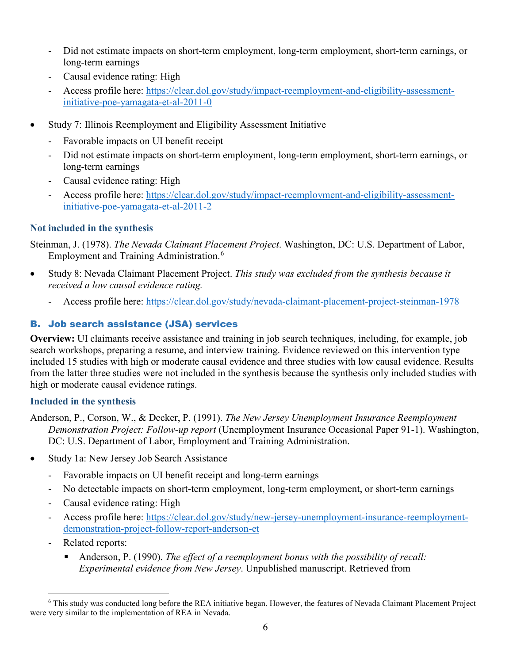- Did not estimate impacts on short-term employment, long-term employment, short-term earnings, or long-term earnings
- Causal evidence rating: High
- Access profile here: [https://clear.dol.gov/study/impact-reemployment-and-eligibility-assessment](https://clear.dol.gov/study/impact-reemployment-and-eligibility-assessment-initiative-poe-yamagata-et-al-2011-0)[initiative-poe-yamagata-et-al-2011-0](https://clear.dol.gov/study/impact-reemployment-and-eligibility-assessment-initiative-poe-yamagata-et-al-2011-0)
- Study 7: Illinois Reemployment and Eligibility Assessment Initiative
	- Favorable impacts on UI benefit receipt
	- Did not estimate impacts on short-term employment, long-term employment, short-term earnings, or long-term earnings
	- Causal evidence rating: High
	- Access profile here: [https://clear.dol.gov/study/impact-reemployment-and-eligibility-assessment](https://clear.dol.gov/study/impact-reemployment-and-eligibility-assessment-initiative-poe-yamagata-et-al-2011-2)[initiative-poe-yamagata-et-al-2011-2](https://clear.dol.gov/study/impact-reemployment-and-eligibility-assessment-initiative-poe-yamagata-et-al-2011-2)

## **Not included in the synthesis**

Steinman, J. (1978). *The Nevada Claimant Placement Project*. Washington, DC: U.S. Department of Labor, Employment and Training Administration.<sup>[6](#page-5-0)</sup>

- Study 8: Nevada Claimant Placement Project. *This study was excluded from the synthesis because it received a low causal evidence rating.*
	- Access profile here:<https://clear.dol.gov/study/nevada-claimant-placement-project-steinman-1978>

## B. Job search assistance (JSA) services

**Overview:** UI claimants receive assistance and training in job search techniques, including, for example, job search workshops, preparing a resume, and interview training. Evidence reviewed on this intervention type included 15 studies with high or moderate causal evidence and three studies with low causal evidence. Results from the latter three studies were not included in the synthesis because the synthesis only included studies with high or moderate causal evidence ratings.

## **Included in the synthesis**

Anderson, P., Corson, W., & Decker, P. (1991). *The New Jersey Unemployment Insurance Reemployment Demonstration Project: Follow-up report* (Unemployment Insurance Occasional Paper 91-1). Washington, DC: U.S. Department of Labor, Employment and Training Administration.

- Study 1a: New Jersey Job Search Assistance
	- Favorable impacts on UI benefit receipt and long-term earnings
	- No detectable impacts on short-term employment, long-term employment, or short-term earnings
	- Causal evidence rating: High
	- Access profile here: [https://clear.dol.gov/study/new-jersey-unemployment-insurance-reemployment](https://clear.dol.gov/study/new-jersey-unemployment-insurance-reemployment-demonstration-project-follow-report-anderson-et)[demonstration-project-follow-report-anderson-et](https://clear.dol.gov/study/new-jersey-unemployment-insurance-reemployment-demonstration-project-follow-report-anderson-et)
	- Related reports:

 $\overline{a}$ 

 Anderson, P. (1990). *The effect of a reemployment bonus with the possibility of recall: Experimental evidence from New Jersey*. Unpublished manuscript. Retrieved from

<span id="page-5-0"></span><sup>6</sup> This study was conducted long before the REA initiative began. However, the features of Nevada Claimant Placement Project were very similar to the implementation of REA in Nevada.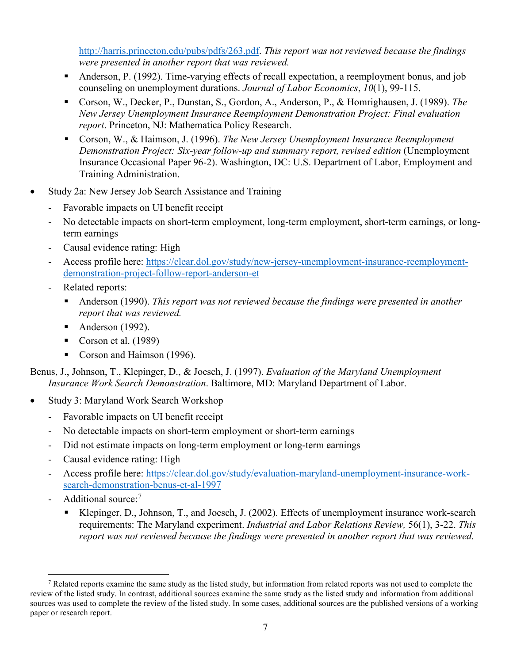[http://harris.princeton.edu/pubs/pdfs/263.pdf.](http://harris.princeton.edu/pubs/pdfs/263.pdf) *This report was not reviewed because the findings were presented in another report that was reviewed.*

- Anderson, P. (1992). Time-varying effects of recall expectation, a reemployment bonus, and job counseling on unemployment durations. *Journal of Labor Economics*, *10*(1), 99-115.
- Corson, W., Decker, P., Dunstan, S., Gordon, A., Anderson, P., & Homrighausen, J. (1989). *The New Jersey Unemployment Insurance Reemployment Demonstration Project: Final evaluation report*. Princeton, NJ: Mathematica Policy Research.
- Corson, W., & Haimson, J. (1996). *The New Jersey Unemployment Insurance Reemployment Demonstration Project: Six-year follow-up and summary report, revised edition* (Unemployment Insurance Occasional Paper 96-2). Washington, DC: U.S. Department of Labor, Employment and Training Administration.
- Study 2a: New Jersey Job Search Assistance and Training
	- Favorable impacts on UI benefit receipt
	- No detectable impacts on short-term employment, long-term employment, short-term earnings, or longterm earnings
	- Causal evidence rating: High
	- Access profile here: [https://clear.dol.gov/study/new-jersey-unemployment-insurance-reemployment](https://clear.dol.gov/study/new-jersey-unemployment-insurance-reemployment-demonstration-project-follow-report-anderson-et)[demonstration-project-follow-report-anderson-et](https://clear.dol.gov/study/new-jersey-unemployment-insurance-reemployment-demonstration-project-follow-report-anderson-et)
	- Related reports:
		- Anderson (1990). *This report was not reviewed because the findings were presented in another report that was reviewed.*
		- Anderson  $(1992)$ .
		- Corson et al.  $(1989)$
		- Corson and Haimson (1996).

Benus, J., Johnson, T., Klepinger, D., & Joesch, J. (1997). *Evaluation of the Maryland Unemployment Insurance Work Search Demonstration*. Baltimore, MD: Maryland Department of Labor.

- Study 3: Maryland Work Search Workshop
	- Favorable impacts on UI benefit receipt
	- No detectable impacts on short-term employment or short-term earnings
	- Did not estimate impacts on long-term employment or long-term earnings
	- Causal evidence rating: High
	- Access profile here: [https://clear.dol.gov/study/evaluation-maryland-unemployment-insurance-work](https://clear.dol.gov/study/evaluation-maryland-unemployment-insurance-work-search-demonstration-benus-et-al-1997)[search-demonstration-benus-et-al-1997](https://clear.dol.gov/study/evaluation-maryland-unemployment-insurance-work-search-demonstration-benus-et-al-1997)
	- Additional source:<sup>[7](#page-6-0)</sup>

 $\overline{a}$ 

 Klepinger, D., Johnson, T., and Joesch, J. (2002). Effects of unemployment insurance work-search requirements: The Maryland experiment. *Industrial and Labor Relations Review,* 56(1), 3-22. *This report was not reviewed because the findings were presented in another report that was reviewed.*

<span id="page-6-0"></span><sup>7</sup> Related reports examine the same study as the listed study, but information from related reports was not used to complete the review of the listed study. In contrast, additional sources examine the same study as the listed study and information from additional sources was used to complete the review of the listed study. In some cases, additional sources are the published versions of a working paper or research report.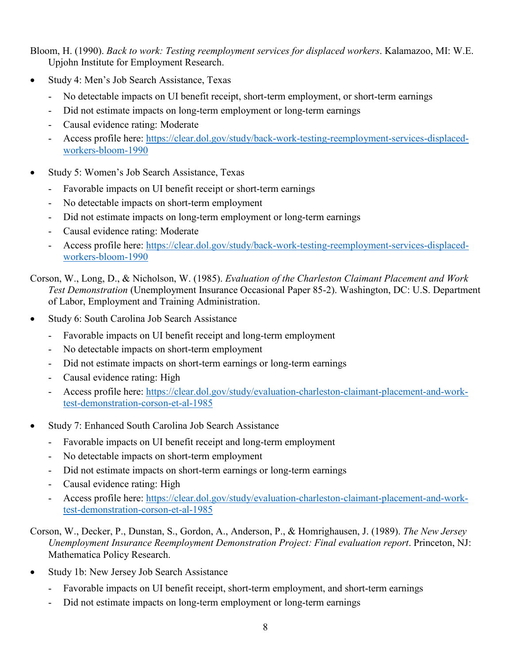Bloom, H. (1990). *Back to work: Testing reemployment services for displaced workers*. Kalamazoo, MI: W.E. Upjohn Institute for Employment Research.

- Study 4: Men's Job Search Assistance, Texas
	- No detectable impacts on UI benefit receipt, short-term employment, or short-term earnings
	- Did not estimate impacts on long-term employment or long-term earnings
	- Causal evidence rating: Moderate
	- Access profile here: [https://clear.dol.gov/study/back-work-testing-reemployment-services-displaced](https://clear.dol.gov/study/back-work-testing-reemployment-services-displaced-workers-bloom-1990)[workers-bloom-1990](https://clear.dol.gov/study/back-work-testing-reemployment-services-displaced-workers-bloom-1990)
- Study 5: Women's Job Search Assistance, Texas
	- Favorable impacts on UI benefit receipt or short-term earnings
	- No detectable impacts on short-term employment
	- Did not estimate impacts on long-term employment or long-term earnings
	- Causal evidence rating: Moderate
	- Access profile here: [https://clear.dol.gov/study/back-work-testing-reemployment-services-displaced](https://clear.dol.gov/study/back-work-testing-reemployment-services-displaced-workers-bloom-1990)[workers-bloom-1990](https://clear.dol.gov/study/back-work-testing-reemployment-services-displaced-workers-bloom-1990)

Corson, W., Long, D., & Nicholson, W. (1985). *Evaluation of the Charleston Claimant Placement and Work Test Demonstration* (Unemployment Insurance Occasional Paper 85-2). Washington, DC: U.S. Department of Labor, Employment and Training Administration.

- Study 6: South Carolina Job Search Assistance
	- Favorable impacts on UI benefit receipt and long-term employment
	- No detectable impacts on short-term employment
	- Did not estimate impacts on short-term earnings or long-term earnings
	- Causal evidence rating: High
	- Access profile here: [https://clear.dol.gov/study/evaluation-charleston-claimant-placement-and-work](https://clear.dol.gov/study/evaluation-charleston-claimant-placement-and-work-test-demonstration-corson-et-al-1985)[test-demonstration-corson-et-al-1985](https://clear.dol.gov/study/evaluation-charleston-claimant-placement-and-work-test-demonstration-corson-et-al-1985)
- Study 7: Enhanced South Carolina Job Search Assistance
	- Favorable impacts on UI benefit receipt and long-term employment
	- No detectable impacts on short-term employment
	- Did not estimate impacts on short-term earnings or long-term earnings
	- Causal evidence rating: High
	- Access profile here: [https://clear.dol.gov/study/evaluation-charleston-claimant-placement-and-work](https://clear.dol.gov/study/evaluation-charleston-claimant-placement-and-work-test-demonstration-corson-et-al-1985)[test-demonstration-corson-et-al-1985](https://clear.dol.gov/study/evaluation-charleston-claimant-placement-and-work-test-demonstration-corson-et-al-1985)

## Corson, W., Decker, P., Dunstan, S., Gordon, A., Anderson, P., & Homrighausen, J. (1989). *The New Jersey Unemployment Insurance Reemployment Demonstration Project: Final evaluation report*. Princeton, NJ: Mathematica Policy Research.

- Study 1b: New Jersey Job Search Assistance
	- Favorable impacts on UI benefit receipt, short-term employment, and short-term earnings
	- Did not estimate impacts on long-term employment or long-term earnings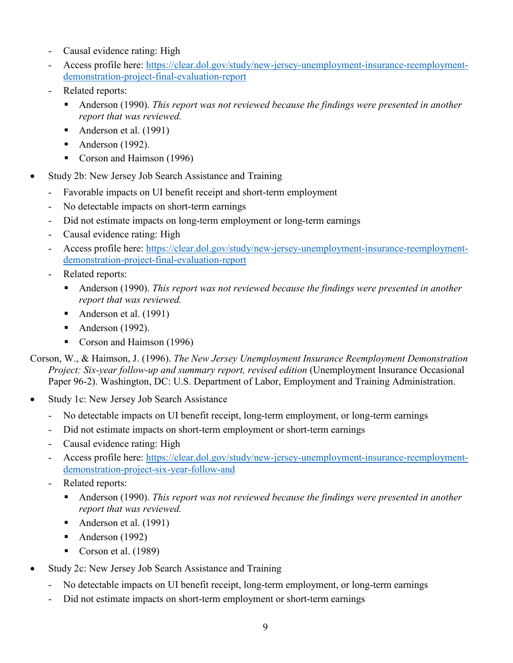- Causal evidence rating: High
- Access profile here: [https://clear.dol.gov/study/new-jersey-unemployment-insurance-reemployment](https://clear.dol.gov/study/new-jersey-unemployment-insurance-reemployment-demonstration-project-final-evaluation-report)[demonstration-project-final-evaluation-report](https://clear.dol.gov/study/new-jersey-unemployment-insurance-reemployment-demonstration-project-final-evaluation-report)
- Related reports:
	- Anderson (1990). *This report was not reviewed because the findings were presented in another report that was reviewed.*
	- Anderson et al. (1991)
	- Anderson  $(1992)$ .
	- Corson and Haimson (1996)
- Study 2b: New Jersey Job Search Assistance and Training
	- Favorable impacts on UI benefit receipt and short-term employment
	- No detectable impacts on short-term earnings
	- Did not estimate impacts on long-term employment or long-term earnings
	- Causal evidence rating: High
	- Access profile here: [https://clear.dol.gov/study/new-jersey-unemployment-insurance-reemployment](https://clear.dol.gov/study/new-jersey-unemployment-insurance-reemployment-demonstration-project-final-evaluation-report)[demonstration-project-final-evaluation-report](https://clear.dol.gov/study/new-jersey-unemployment-insurance-reemployment-demonstration-project-final-evaluation-report)
	- Related reports:
		- Anderson (1990). *This report was not reviewed because the findings were presented in another report that was reviewed.*
		- Anderson et al. (1991)
		- Anderson  $(1992)$ .
		- Corson and Haimson (1996)
- Corson, W., & Haimson, J. (1996). *The New Jersey Unemployment Insurance Reemployment Demonstration Project: Six-year follow-up and summary report, revised edition* (Unemployment Insurance Occasional Paper 96-2). Washington, DC: U.S. Department of Labor, Employment and Training Administration.
- Study 1c: New Jersey Job Search Assistance
	- No detectable impacts on UI benefit receipt, long-term employment, or long-term earnings
	- Did not estimate impacts on short-term employment or short-term earnings
	- Causal evidence rating: High
	- Access profile here: [https://clear.dol.gov/study/new-jersey-unemployment-insurance-reemployment](https://clear.dol.gov/study/new-jersey-unemployment-insurance-reemployment-demonstration-project-six-year-follow-and)[demonstration-project-six-year-follow-and](https://clear.dol.gov/study/new-jersey-unemployment-insurance-reemployment-demonstration-project-six-year-follow-and)
	- Related reports:
		- Anderson (1990). *This report was not reviewed because the findings were presented in another report that was reviewed.*
		- Anderson et al. (1991)
		- Anderson (1992)
		- Corson et al.  $(1989)$
- Study 2c: New Jersey Job Search Assistance and Training
	- No detectable impacts on UI benefit receipt, long-term employment, or long-term earnings
	- Did not estimate impacts on short-term employment or short-term earnings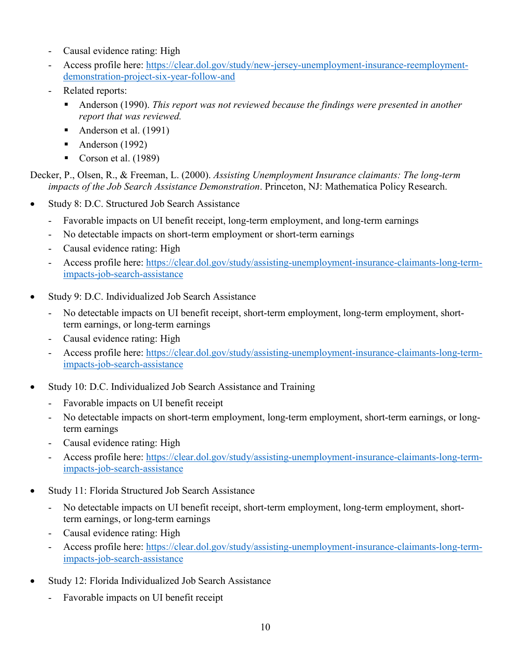- Causal evidence rating: High
- Access profile here: [https://clear.dol.gov/study/new-jersey-unemployment-insurance-reemployment](https://clear.dol.gov/study/new-jersey-unemployment-insurance-reemployment-demonstration-project-six-year-follow-and)[demonstration-project-six-year-follow-and](https://clear.dol.gov/study/new-jersey-unemployment-insurance-reemployment-demonstration-project-six-year-follow-and)
- Related reports:
	- Anderson (1990). *This report was not reviewed because the findings were presented in another report that was reviewed.*
	- Anderson et al. (1991)
	- Anderson  $(1992)$
	- Corson et al. (1989)

Decker, P., Olsen, R., & Freeman, L. (2000). *Assisting Unemployment Insurance claimants: The long-term impacts of the Job Search Assistance Demonstration*. Princeton, NJ: Mathematica Policy Research.

- Study 8: D.C. Structured Job Search Assistance
	- Favorable impacts on UI benefit receipt, long-term employment, and long-term earnings
	- No detectable impacts on short-term employment or short-term earnings
	- Causal evidence rating: High
	- Access profile here: [https://clear.dol.gov/study/assisting-unemployment-insurance-claimants-long-term](https://clear.dol.gov/study/assisting-unemployment-insurance-claimants-long-term-impacts-job-search-assistance)[impacts-job-search-assistance](https://clear.dol.gov/study/assisting-unemployment-insurance-claimants-long-term-impacts-job-search-assistance)
- Study 9: D.C. Individualized Job Search Assistance
	- No detectable impacts on UI benefit receipt, short-term employment, long-term employment, shortterm earnings, or long-term earnings
	- Causal evidence rating: High
	- Access profile here: [https://clear.dol.gov/study/assisting-unemployment-insurance-claimants-long-term](https://clear.dol.gov/study/assisting-unemployment-insurance-claimants-long-term-impacts-job-search-assistance)[impacts-job-search-assistance](https://clear.dol.gov/study/assisting-unemployment-insurance-claimants-long-term-impacts-job-search-assistance)
- Study 10: D.C. Individualized Job Search Assistance and Training
	- Favorable impacts on UI benefit receipt
	- No detectable impacts on short-term employment, long-term employment, short-term earnings, or longterm earnings
	- Causal evidence rating: High
	- Access profile here: [https://clear.dol.gov/study/assisting-unemployment-insurance-claimants-long-term](https://clear.dol.gov/study/assisting-unemployment-insurance-claimants-long-term-impacts-job-search-assistance)[impacts-job-search-assistance](https://clear.dol.gov/study/assisting-unemployment-insurance-claimants-long-term-impacts-job-search-assistance)
- Study 11: Florida Structured Job Search Assistance
	- No detectable impacts on UI benefit receipt, short-term employment, long-term employment, shortterm earnings, or long-term earnings
	- Causal evidence rating: High
	- Access profile here: [https://clear.dol.gov/study/assisting-unemployment-insurance-claimants-long-term](https://clear.dol.gov/study/assisting-unemployment-insurance-claimants-long-term-impacts-job-search-assistance)[impacts-job-search-assistance](https://clear.dol.gov/study/assisting-unemployment-insurance-claimants-long-term-impacts-job-search-assistance)
- Study 12: Florida Individualized Job Search Assistance
	- Favorable impacts on UI benefit receipt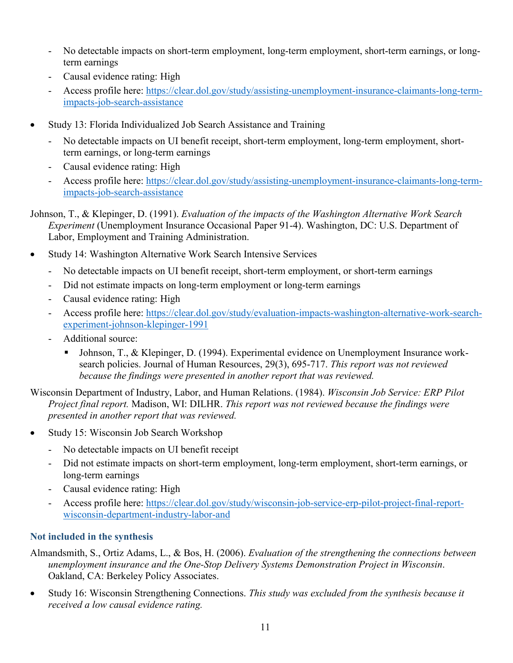- No detectable impacts on short-term employment, long-term employment, short-term earnings, or longterm earnings
- Causal evidence rating: High
- Access profile here: [https://clear.dol.gov/study/assisting-unemployment-insurance-claimants-long-term](https://clear.dol.gov/study/assisting-unemployment-insurance-claimants-long-term-impacts-job-search-assistance)[impacts-job-search-assistance](https://clear.dol.gov/study/assisting-unemployment-insurance-claimants-long-term-impacts-job-search-assistance)
- Study 13: Florida Individualized Job Search Assistance and Training
	- No detectable impacts on UI benefit receipt, short-term employment, long-term employment, shortterm earnings, or long-term earnings
	- Causal evidence rating: High
	- Access profile here: [https://clear.dol.gov/study/assisting-unemployment-insurance-claimants-long-term](https://clear.dol.gov/study/assisting-unemployment-insurance-claimants-long-term-impacts-job-search-assistance)[impacts-job-search-assistance](https://clear.dol.gov/study/assisting-unemployment-insurance-claimants-long-term-impacts-job-search-assistance)
- Johnson, T., & Klepinger, D. (1991). *Evaluation of the impacts of the Washington Alternative Work Search Experiment* (Unemployment Insurance Occasional Paper 91-4). Washington, DC: U.S. Department of Labor, Employment and Training Administration.
- Study 14: Washington Alternative Work Search Intensive Services
	- No detectable impacts on UI benefit receipt, short-term employment, or short-term earnings
	- Did not estimate impacts on long-term employment or long-term earnings
	- Causal evidence rating: High
	- Access profile here: [https://clear.dol.gov/study/evaluation-impacts-washington-alternative-work-search](https://clear.dol.gov/study/evaluation-impacts-washington-alternative-work-search-experiment-johnson-klepinger-1991)[experiment-johnson-klepinger-1991](https://clear.dol.gov/study/evaluation-impacts-washington-alternative-work-search-experiment-johnson-klepinger-1991)
	- Additional source:
		- Johnson, T., & Klepinger, D. (1994). Experimental evidence on Unemployment Insurance worksearch policies. Journal of Human Resources, 29(3), 695-717. *This report was not reviewed because the findings were presented in another report that was reviewed.*

Wisconsin Department of Industry, Labor, and Human Relations. (1984). *Wisconsin Job Service: ERP Pilot Project final report.* Madison, WI: DILHR. *This report was not reviewed because the findings were presented in another report that was reviewed.*

- Study 15: Wisconsin Job Search Workshop
	- No detectable impacts on UI benefit receipt
	- Did not estimate impacts on short-term employment, long-term employment, short-term earnings, or long-term earnings
	- Causal evidence rating: High
	- Access profile here: [https://clear.dol.gov/study/wisconsin-job-service-erp-pilot-project-final-report](https://clear.dol.gov/study/wisconsin-job-service-erp-pilot-project-final-report-wisconsin-department-industry-labor-and)[wisconsin-department-industry-labor-and](https://clear.dol.gov/study/wisconsin-job-service-erp-pilot-project-final-report-wisconsin-department-industry-labor-and)

## **Not included in the synthesis**

- Almandsmith, S., Ortiz Adams, L., & Bos, H. (2006). *Evaluation of the strengthening the connections between unemployment insurance and the One-Stop Delivery Systems Demonstration Project in Wisconsin*. Oakland, CA: Berkeley Policy Associates.
- Study 16: Wisconsin Strengthening Connections. *This study was excluded from the synthesis because it received a low causal evidence rating.*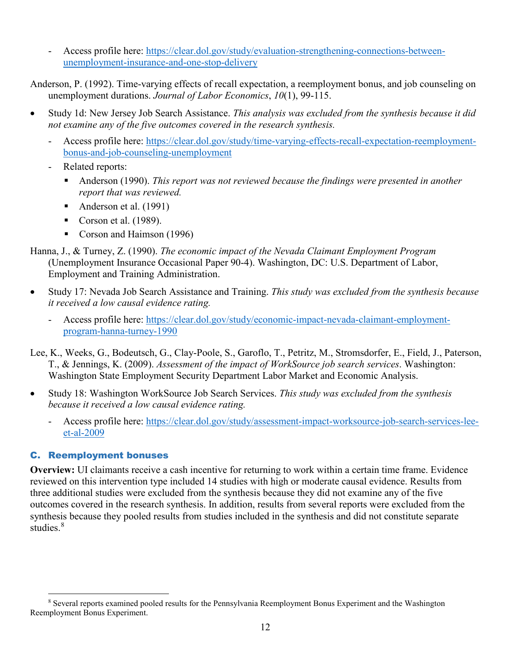- Access profile here: [https://clear.dol.gov/study/evaluation-strengthening-connections-between](https://clear.dol.gov/study/evaluation-strengthening-connections-between-unemployment-insurance-and-one-stop-delivery)[unemployment-insurance-and-one-stop-delivery](https://clear.dol.gov/study/evaluation-strengthening-connections-between-unemployment-insurance-and-one-stop-delivery) 

Anderson, P. (1992). Time-varying effects of recall expectation, a reemployment bonus, and job counseling on unemployment durations. *Journal of Labor Economics*, *10*(1), 99-115.

- Study 1d: New Jersey Job Search Assistance. *This analysis was excluded from the synthesis because it did not examine any of the five outcomes covered in the research synthesis.*
	- Access profile here: [https://clear.dol.gov/study/time-varying-effects-recall-expectation-reemployment](https://clear.dol.gov/study/time-varying-effects-recall-expectation-reemployment-bonus-and-job-counseling-unemployment)[bonus-and-job-counseling-unemployment](https://clear.dol.gov/study/time-varying-effects-recall-expectation-reemployment-bonus-and-job-counseling-unemployment)
	- Related reports:
		- Anderson (1990). *This report was not reviewed because the findings were presented in another report that was reviewed.*
		- Anderson et al. (1991)
		- Corson et al.  $(1989)$ .
		- Corson and Haimson (1996)

Hanna, J., & Turney, Z. (1990). *The economic impact of the Nevada Claimant Employment Program* (Unemployment Insurance Occasional Paper 90-4). Washington, DC: U.S. Department of Labor, Employment and Training Administration.

- Study 17: Nevada Job Search Assistance and Training. *This study was excluded from the synthesis because it received a low causal evidence rating.*
	- Access profile here: [https://clear.dol.gov/study/economic-impact-nevada-claimant-employment](https://clear.dol.gov/study/economic-impact-nevada-claimant-employment-program-hanna-turney-1990)[program-hanna-turney-1990](https://clear.dol.gov/study/economic-impact-nevada-claimant-employment-program-hanna-turney-1990)
- Lee, K., Weeks, G., Bodeutsch, G., Clay-Poole, S., Garoflo, T., Petritz, M., Stromsdorfer, E., Field, J., Paterson, T., & Jennings, K. (2009). *Assessment of the impact of WorkSource job search services*. Washington: Washington State Employment Security Department Labor Market and Economic Analysis.
- Study 18: Washington WorkSource Job Search Services. *This study was excluded from the synthesis because it received a low causal evidence rating.*
	- Access profile here: [https://clear.dol.gov/study/assessment-impact-worksource-job-search-services-lee](https://clear.dol.gov/study/assessment-impact-worksource-job-search-services-lee-et-al-2009)[et-al-2009](https://clear.dol.gov/study/assessment-impact-worksource-job-search-services-lee-et-al-2009)

# C. Reemployment bonuses

**Overview:** UI claimants receive a cash incentive for returning to work within a certain time frame. Evidence reviewed on this intervention type included 14 studies with high or moderate causal evidence. Results from three additional studies were excluded from the synthesis because they did not examine any of the five outcomes covered in the research synthesis. In addition, results from several reports were excluded from the synthesis because they pooled results from studies included in the synthesis and did not constitute separate studies.<sup>[8](#page-11-0)</sup>

<span id="page-11-0"></span> $\overline{a}$ <sup>8</sup> Several reports examined pooled results for the Pennsylvania Reemployment Bonus Experiment and the Washington Reemployment Bonus Experiment.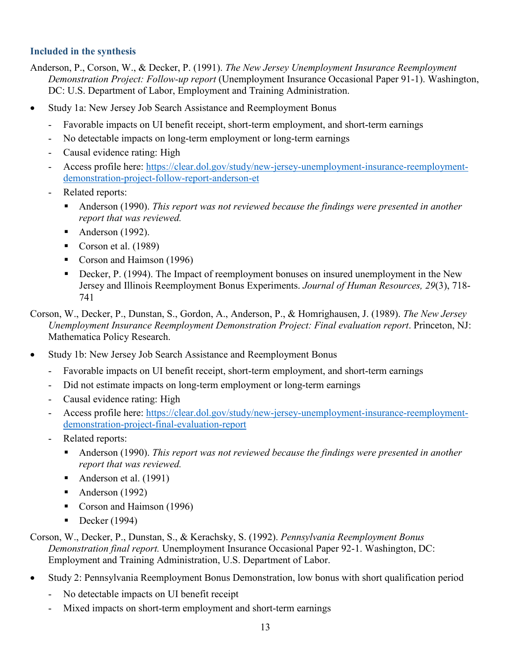## **Included in the synthesis**

- Anderson, P., Corson, W., & Decker, P. (1991). *The New Jersey Unemployment Insurance Reemployment Demonstration Project: Follow-up report* (Unemployment Insurance Occasional Paper 91-1). Washington, DC: U.S. Department of Labor, Employment and Training Administration.
- Study 1a: New Jersey Job Search Assistance and Reemployment Bonus
	- Favorable impacts on UI benefit receipt, short-term employment, and short-term earnings
	- No detectable impacts on long-term employment or long-term earnings
	- Causal evidence rating: High
	- Access profile here: [https://clear.dol.gov/study/new-jersey-unemployment-insurance-reemployment](https://clear.dol.gov/study/new-jersey-unemployment-insurance-reemployment-demonstration-project-follow-report-anderson-et)[demonstration-project-follow-report-anderson-et](https://clear.dol.gov/study/new-jersey-unemployment-insurance-reemployment-demonstration-project-follow-report-anderson-et)
	- Related reports:
		- Anderson (1990). *This report was not reviewed because the findings were presented in another report that was reviewed.*
		- Anderson  $(1992)$ .
		- Corson et al.  $(1989)$
		- Corson and Haimson (1996)
		- Decker, P. (1994). The Impact of reemployment bonuses on insured unemployment in the New Jersey and Illinois Reemployment Bonus Experiments. *Journal of Human Resources, 29*(3), 718- 741

Corson, W., Decker, P., Dunstan, S., Gordon, A., Anderson, P., & Homrighausen, J. (1989). *The New Jersey Unemployment Insurance Reemployment Demonstration Project: Final evaluation report*. Princeton, NJ: Mathematica Policy Research.

- Study 1b: New Jersey Job Search Assistance and Reemployment Bonus
	- Favorable impacts on UI benefit receipt, short-term employment, and short-term earnings
	- Did not estimate impacts on long-term employment or long-term earnings
	- Causal evidence rating: High
	- Access profile here: [https://clear.dol.gov/study/new-jersey-unemployment-insurance-reemployment](https://clear.dol.gov/study/new-jersey-unemployment-insurance-reemployment-demonstration-project-final-evaluation-report)[demonstration-project-final-evaluation-report](https://clear.dol.gov/study/new-jersey-unemployment-insurance-reemployment-demonstration-project-final-evaluation-report)
	- Related reports:
		- Anderson (1990). *This report was not reviewed because the findings were presented in another report that was reviewed.*
		- Anderson et al. (1991)
		- Anderson  $(1992)$
		- Corson and Haimson (1996)
		- Decker  $(1994)$

Corson, W., Decker, P., Dunstan, S., & Kerachsky, S. (1992). *Pennsylvania Reemployment Bonus Demonstration final report.* Unemployment Insurance Occasional Paper 92-1. Washington, DC: Employment and Training Administration, U.S. Department of Labor.

- Study 2: Pennsylvania Reemployment Bonus Demonstration, low bonus with short qualification period
	- No detectable impacts on UI benefit receipt
	- Mixed impacts on short-term employment and short-term earnings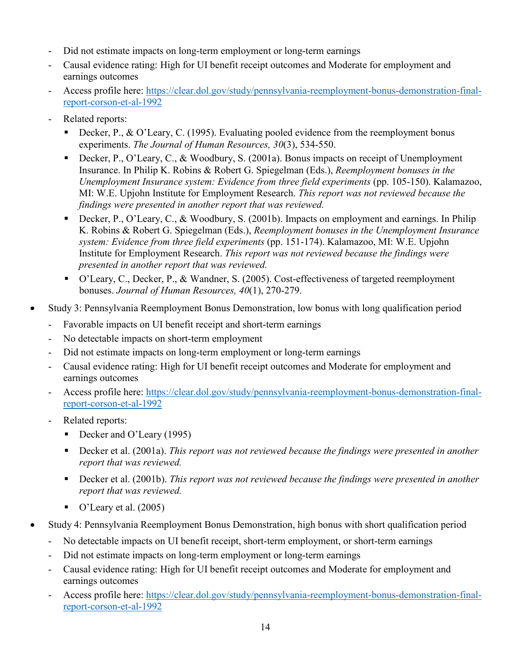- Did not estimate impacts on long-term employment or long-term earnings
- Causal evidence rating: High for UI benefit receipt outcomes and Moderate for employment and earnings outcomes
- Access profile here: [https://clear.dol.gov/study/pennsylvania-reemployment-bonus-demonstration-final](https://clear.dol.gov/study/pennsylvania-reemployment-bonus-demonstration-final-report-corson-et-al-1992)[report-corson-et-al-1992](https://clear.dol.gov/study/pennsylvania-reemployment-bonus-demonstration-final-report-corson-et-al-1992)
- Related reports:
	- Decker, P.,  $\&$  O'Leary, C. (1995). Evaluating pooled evidence from the reemployment bonus experiments. *The Journal of Human Resources, 30*(3), 534-550.
	- Decker, P., O'Leary, C., & Woodbury, S. (2001a). Bonus impacts on receipt of Unemployment Insurance. In Philip K. Robins & Robert G. Spiegelman (Eds.), *Reemployment bonuses in the Unemployment Insurance system: Evidence from three field experiments* (pp. 105-150). Kalamazoo, MI: W.E. Upjohn Institute for Employment Research. *This report was not reviewed because the findings were presented in another report that was reviewed.*
	- Decker, P., O'Leary, C., & Woodbury, S. (2001b). Impacts on employment and earnings. In Philip K. Robins & Robert G. Spiegelman (Eds.), *Reemployment bonuses in the Unemployment Insurance system: Evidence from three field experiments* (pp. 151-174). Kalamazoo, MI: W.E. Upjohn Institute for Employment Research. *This report was not reviewed because the findings were presented in another report that was reviewed.*
	- O'Leary, C., Decker, P., & Wandner, S. (2005). Cost-effectiveness of targeted reemployment bonuses. *Journal of Human Resources, 40*(1), 270-279.
- Study 3: Pennsylvania Reemployment Bonus Demonstration, low bonus with long qualification period
	- Favorable impacts on UI benefit receipt and short-term earnings
	- No detectable impacts on short-term employment
	- Did not estimate impacts on long-term employment or long-term earnings
	- Causal evidence rating: High for UI benefit receipt outcomes and Moderate for employment and earnings outcomes
	- Access profile here: [https://clear.dol.gov/study/pennsylvania-reemployment-bonus-demonstration-final](https://clear.dol.gov/study/pennsylvania-reemployment-bonus-demonstration-final-report-corson-et-al-1992)[report-corson-et-al-1992](https://clear.dol.gov/study/pennsylvania-reemployment-bonus-demonstration-final-report-corson-et-al-1992)
	- Related reports:
		- Decker and O'Leary (1995)
		- Decker et al. (2001a). *This report was not reviewed because the findings were presented in another report that was reviewed.*
		- Decker et al. (2001b). *This report was not reviewed because the findings were presented in another report that was reviewed.*
		- $\bullet$  O'Leary et al. (2005)
- Study 4: Pennsylvania Reemployment Bonus Demonstration, high bonus with short qualification period
	- No detectable impacts on UI benefit receipt, short-term employment, or short-term earnings
	- Did not estimate impacts on long-term employment or long-term earnings
	- Causal evidence rating: High for UI benefit receipt outcomes and Moderate for employment and earnings outcomes
	- Access profile here: [https://clear.dol.gov/study/pennsylvania-reemployment-bonus-demonstration-final](https://clear.dol.gov/study/pennsylvania-reemployment-bonus-demonstration-final-report-corson-et-al-1992)[report-corson-et-al-1992](https://clear.dol.gov/study/pennsylvania-reemployment-bonus-demonstration-final-report-corson-et-al-1992)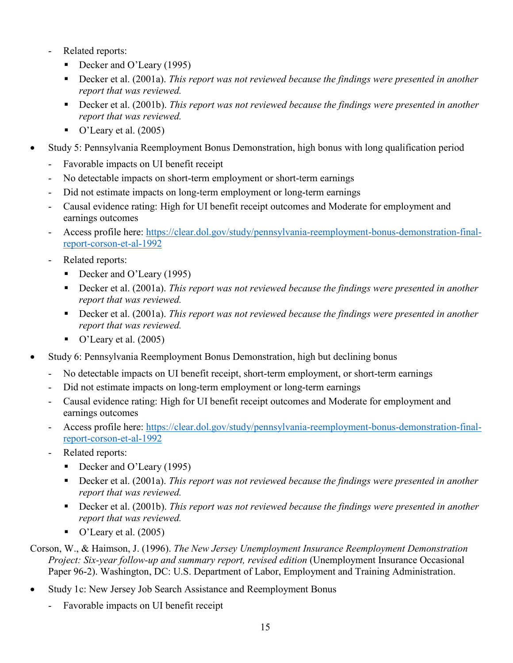- Related reports:
	- Decker and O'Leary (1995)
	- Decker et al. (2001a). *This report was not reviewed because the findings were presented in another report that was reviewed.*
	- Decker et al. (2001b). *This report was not reviewed because the findings were presented in another report that was reviewed.*
	- $\bullet$  O'Leary et al. (2005)
- Study 5: Pennsylvania Reemployment Bonus Demonstration, high bonus with long qualification period
	- Favorable impacts on UI benefit receipt
	- No detectable impacts on short-term employment or short-term earnings
	- Did not estimate impacts on long-term employment or long-term earnings
	- Causal evidence rating: High for UI benefit receipt outcomes and Moderate for employment and earnings outcomes
	- Access profile here: [https://clear.dol.gov/study/pennsylvania-reemployment-bonus-demonstration-final](https://clear.dol.gov/study/pennsylvania-reemployment-bonus-demonstration-final-report-corson-et-al-1992)[report-corson-et-al-1992](https://clear.dol.gov/study/pennsylvania-reemployment-bonus-demonstration-final-report-corson-et-al-1992)
	- Related reports:
		- Decker and O'Leary (1995)
		- Decker et al. (2001a). *This report was not reviewed because the findings were presented in another report that was reviewed.*
		- Decker et al. (2001a). *This report was not reviewed because the findings were presented in another report that was reviewed.*
		- $\bullet$  O'Leary et al. (2005)
- Study 6: Pennsylvania Reemployment Bonus Demonstration, high but declining bonus
	- No detectable impacts on UI benefit receipt, short-term employment, or short-term earnings
	- Did not estimate impacts on long-term employment or long-term earnings
	- Causal evidence rating: High for UI benefit receipt outcomes and Moderate for employment and earnings outcomes
	- Access profile here: [https://clear.dol.gov/study/pennsylvania-reemployment-bonus-demonstration-final](https://clear.dol.gov/study/pennsylvania-reemployment-bonus-demonstration-final-report-corson-et-al-1992)[report-corson-et-al-1992](https://clear.dol.gov/study/pennsylvania-reemployment-bonus-demonstration-final-report-corson-et-al-1992)
	- Related reports:
		- Decker and O'Leary (1995)
		- Decker et al. (2001a). *This report was not reviewed because the findings were presented in another report that was reviewed.*
		- Decker et al. (2001b). *This report was not reviewed because the findings were presented in another report that was reviewed.*
		- $\bullet$  O'Leary et al. (2005)

Corson, W., & Haimson, J. (1996). *The New Jersey Unemployment Insurance Reemployment Demonstration Project: Six-year follow-up and summary report, revised edition* (Unemployment Insurance Occasional Paper 96-2). Washington, DC: U.S. Department of Labor, Employment and Training Administration.

- Study 1c: New Jersey Job Search Assistance and Reemployment Bonus
	- Favorable impacts on UI benefit receipt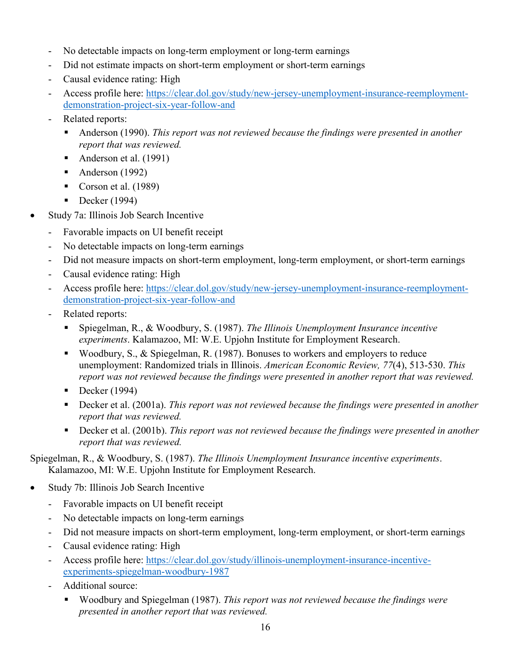- No detectable impacts on long-term employment or long-term earnings
- Did not estimate impacts on short-term employment or short-term earnings
- Causal evidence rating: High
- Access profile here: [https://clear.dol.gov/study/new-jersey-unemployment-insurance-reemployment](https://clear.dol.gov/study/new-jersey-unemployment-insurance-reemployment-demonstration-project-six-year-follow-and)[demonstration-project-six-year-follow-and](https://clear.dol.gov/study/new-jersey-unemployment-insurance-reemployment-demonstration-project-six-year-follow-and)
- Related reports:
	- Anderson (1990). *This report was not reviewed because the findings were presented in another report that was reviewed.*
	- Anderson et al. (1991)
	- Anderson  $(1992)$
	- Corson et al.  $(1989)$
	- $\blacksquare$  Decker (1994)
- Study 7a: Illinois Job Search Incentive
	- Favorable impacts on UI benefit receipt
	- No detectable impacts on long-term earnings
	- Did not measure impacts on short-term employment, long-term employment, or short-term earnings
	- Causal evidence rating: High
	- Access profile here: [https://clear.dol.gov/study/new-jersey-unemployment-insurance-reemployment](https://clear.dol.gov/study/new-jersey-unemployment-insurance-reemployment-demonstration-project-six-year-follow-and)[demonstration-project-six-year-follow-and](https://clear.dol.gov/study/new-jersey-unemployment-insurance-reemployment-demonstration-project-six-year-follow-and)
	- Related reports:
		- Spiegelman, R., & Woodbury, S. (1987). *The Illinois Unemployment Insurance incentive experiments*. Kalamazoo, MI: W.E. Upjohn Institute for Employment Research.
		- Woodbury, S., & Spiegelman, R. (1987). Bonuses to workers and employers to reduce unemployment: Randomized trials in Illinois. *American Economic Review, 77*(4), 513-530. *This report was not reviewed because the findings were presented in another report that was reviewed.*
		- Decker  $(1994)$
		- Decker et al. (2001a). *This report was not reviewed because the findings were presented in another report that was reviewed.*
		- Decker et al. (2001b). *This report was not reviewed because the findings were presented in another report that was reviewed.*

Spiegelman, R., & Woodbury, S. (1987). *The Illinois Unemployment Insurance incentive experiments*. Kalamazoo, MI: W.E. Upjohn Institute for Employment Research.

- Study 7b: Illinois Job Search Incentive
	- Favorable impacts on UI benefit receipt
	- No detectable impacts on long-term earnings
	- Did not measure impacts on short-term employment, long-term employment, or short-term earnings
	- Causal evidence rating: High
	- Access profile here: [https://clear.dol.gov/study/illinois-unemployment-insurance-incentive](https://clear.dol.gov/study/illinois-unemployment-insurance-incentive-experiments-spiegelman-woodbury-1987)[experiments-spiegelman-woodbury-1987](https://clear.dol.gov/study/illinois-unemployment-insurance-incentive-experiments-spiegelman-woodbury-1987)
	- Additional source:
		- Woodbury and Spiegelman (1987). *This report was not reviewed because the findings were presented in another report that was reviewed.*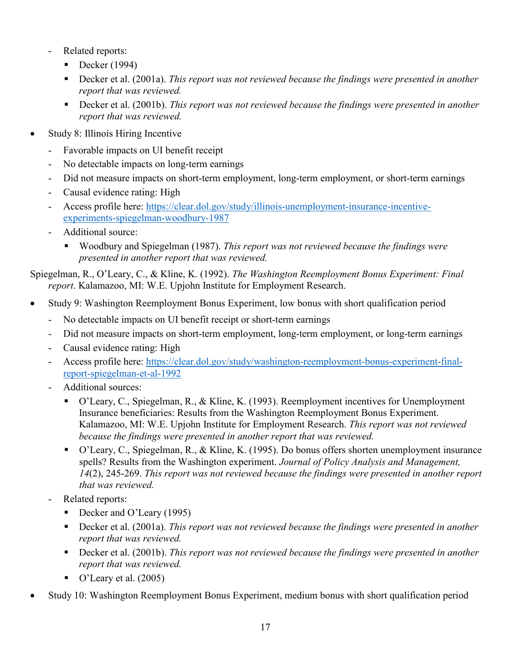- Related reports:
	- Decker  $(1994)$
	- Decker et al. (2001a). *This report was not reviewed because the findings were presented in another report that was reviewed.*
	- Decker et al. (2001b). *This report was not reviewed because the findings were presented in another report that was reviewed.*
- Study 8: Illinois Hiring Incentive
	- Favorable impacts on UI benefit receipt
	- No detectable impacts on long-term earnings
	- Did not measure impacts on short-term employment, long-term employment, or short-term earnings
	- Causal evidence rating: High
	- Access profile here: [https://clear.dol.gov/study/illinois-unemployment-insurance-incentive](https://clear.dol.gov/study/illinois-unemployment-insurance-incentive-experiments-spiegelman-woodbury-1987)[experiments-spiegelman-woodbury-1987](https://clear.dol.gov/study/illinois-unemployment-insurance-incentive-experiments-spiegelman-woodbury-1987)
	- Additional source:
		- Woodbury and Spiegelman (1987). *This report was not reviewed because the findings were presented in another report that was reviewed.*

Spiegelman, R., O'Leary, C., & Kline, K. (1992). *The Washington Reemployment Bonus Experiment: Final report*. Kalamazoo, MI: W.E. Upjohn Institute for Employment Research.

- Study 9: Washington Reemployment Bonus Experiment, low bonus with short qualification period
	- No detectable impacts on UI benefit receipt or short-term earnings
	- Did not measure impacts on short-term employment, long-term employment, or long-term earnings
	- Causal evidence rating: High
	- Access profile here: [https://clear.dol.gov/study/washington-reemployment-bonus-experiment-final](https://clear.dol.gov/study/washington-reemployment-bonus-experiment-final-report-spiegelman-et-al-1992)[report-spiegelman-et-al-1992](https://clear.dol.gov/study/washington-reemployment-bonus-experiment-final-report-spiegelman-et-al-1992)
	- Additional sources:
		- O'Leary, C., Spiegelman, R., & Kline, K. (1993). Reemployment incentives for Unemployment Insurance beneficiaries: Results from the Washington Reemployment Bonus Experiment. Kalamazoo, MI: W.E. Upjohn Institute for Employment Research. *This report was not reviewed because the findings were presented in another report that was reviewed.*
		- O'Leary, C., Spiegelman, R., & Kline, K. (1995). Do bonus offers shorten unemployment insurance spells? Results from the Washington experiment. *Journal of Policy Analysis and Management, 14*(2), 245-269. *This report was not reviewed because the findings were presented in another report that was reviewed.*
	- Related reports:
		- Decker and O'Leary (1995)
		- Decker et al. (2001a). *This report was not reviewed because the findings were presented in another report that was reviewed.*
		- Decker et al. (2001b). *This report was not reviewed because the findings were presented in another report that was reviewed.*
		- $\bullet$  O'Leary et al. (2005)
- Study 10: Washington Reemployment Bonus Experiment, medium bonus with short qualification period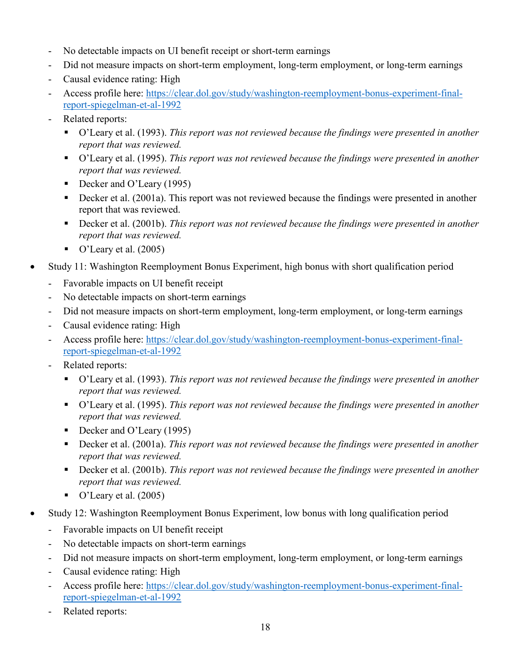- No detectable impacts on UI benefit receipt or short-term earnings
- Did not measure impacts on short-term employment, long-term employment, or long-term earnings
- Causal evidence rating: High
- Access profile here: [https://clear.dol.gov/study/washington-reemployment-bonus-experiment-final](https://clear.dol.gov/study/washington-reemployment-bonus-experiment-final-report-spiegelman-et-al-1992)[report-spiegelman-et-al-1992](https://clear.dol.gov/study/washington-reemployment-bonus-experiment-final-report-spiegelman-et-al-1992)
- Related reports:
	- O'Leary et al. (1993). *This report was not reviewed because the findings were presented in another report that was reviewed.*
	- O'Leary et al. (1995). *This report was not reviewed because the findings were presented in another report that was reviewed.*
	- Decker and O'Leary (1995)
	- Decker et al. (2001a). This report was not reviewed because the findings were presented in another report that was reviewed.
	- Decker et al. (2001b). *This report was not reviewed because the findings were presented in another report that was reviewed.*
	- $\bullet$  O'Leary et al. (2005)
- Study 11: Washington Reemployment Bonus Experiment, high bonus with short qualification period
	- Favorable impacts on UI benefit receipt
	- No detectable impacts on short-term earnings
	- Did not measure impacts on short-term employment, long-term employment, or long-term earnings
	- Causal evidence rating: High
	- Access profile here: [https://clear.dol.gov/study/washington-reemployment-bonus-experiment-final](https://clear.dol.gov/study/washington-reemployment-bonus-experiment-final-report-spiegelman-et-al-1992)[report-spiegelman-et-al-1992](https://clear.dol.gov/study/washington-reemployment-bonus-experiment-final-report-spiegelman-et-al-1992)
	- Related reports:
		- O'Leary et al. (1993). *This report was not reviewed because the findings were presented in another report that was reviewed.*
		- O'Leary et al. (1995). *This report was not reviewed because the findings were presented in another report that was reviewed.*
		- Decker and O'Leary (1995)
		- Decker et al. (2001a). *This report was not reviewed because the findings were presented in another report that was reviewed.*
		- Decker et al. (2001b). *This report was not reviewed because the findings were presented in another report that was reviewed.*
		- $\bullet$  O'Leary et al. (2005)
- Study 12: Washington Reemployment Bonus Experiment, low bonus with long qualification period
	- Favorable impacts on UI benefit receipt
	- No detectable impacts on short-term earnings
	- Did not measure impacts on short-term employment, long-term employment, or long-term earnings
	- Causal evidence rating: High
	- Access profile here: [https://clear.dol.gov/study/washington-reemployment-bonus-experiment-final](https://clear.dol.gov/study/washington-reemployment-bonus-experiment-final-report-spiegelman-et-al-1992)[report-spiegelman-et-al-1992](https://clear.dol.gov/study/washington-reemployment-bonus-experiment-final-report-spiegelman-et-al-1992)
	- Related reports: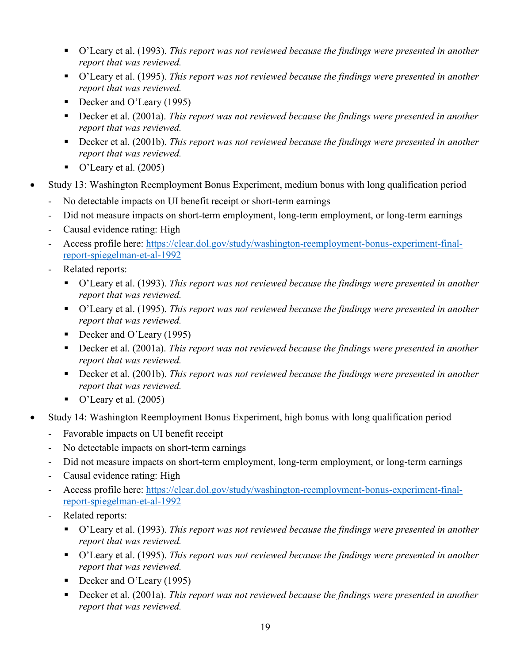- O'Leary et al. (1993). *This report was not reviewed because the findings were presented in another report that was reviewed.*
- O'Leary et al. (1995). *This report was not reviewed because the findings were presented in another report that was reviewed.*
- Decker and O'Leary (1995)
- Decker et al. (2001a). *This report was not reviewed because the findings were presented in another report that was reviewed.*
- Decker et al. (2001b). *This report was not reviewed because the findings were presented in another report that was reviewed.*
- $\bullet$  O'Leary et al. (2005)
- Study 13: Washington Reemployment Bonus Experiment, medium bonus with long qualification period
	- No detectable impacts on UI benefit receipt or short-term earnings
	- Did not measure impacts on short-term employment, long-term employment, or long-term earnings
	- Causal evidence rating: High
	- Access profile here: [https://clear.dol.gov/study/washington-reemployment-bonus-experiment-final](https://clear.dol.gov/study/washington-reemployment-bonus-experiment-final-report-spiegelman-et-al-1992)[report-spiegelman-et-al-1992](https://clear.dol.gov/study/washington-reemployment-bonus-experiment-final-report-spiegelman-et-al-1992)
	- Related reports:
		- O'Leary et al. (1993). *This report was not reviewed because the findings were presented in another report that was reviewed.*
		- O'Leary et al. (1995). *This report was not reviewed because the findings were presented in another report that was reviewed.*
		- Decker and O'Leary (1995)
		- Decker et al. (2001a). *This report was not reviewed because the findings were presented in another report that was reviewed.*
		- Decker et al. (2001b). *This report was not reviewed because the findings were presented in another report that was reviewed.*
		- $\bullet$  O'Leary et al. (2005)
- Study 14: Washington Reemployment Bonus Experiment, high bonus with long qualification period
	- Favorable impacts on UI benefit receipt
	- No detectable impacts on short-term earnings
	- Did not measure impacts on short-term employment, long-term employment, or long-term earnings
	- Causal evidence rating: High
	- Access profile here: [https://clear.dol.gov/study/washington-reemployment-bonus-experiment-final](https://clear.dol.gov/study/washington-reemployment-bonus-experiment-final-report-spiegelman-et-al-1992)[report-spiegelman-et-al-1992](https://clear.dol.gov/study/washington-reemployment-bonus-experiment-final-report-spiegelman-et-al-1992)
	- Related reports:
		- O'Leary et al. (1993). *This report was not reviewed because the findings were presented in another report that was reviewed.*
		- O'Leary et al. (1995). *This report was not reviewed because the findings were presented in another report that was reviewed.*
		- Decker and O'Leary (1995)
		- Decker et al. (2001a). *This report was not reviewed because the findings were presented in another report that was reviewed.*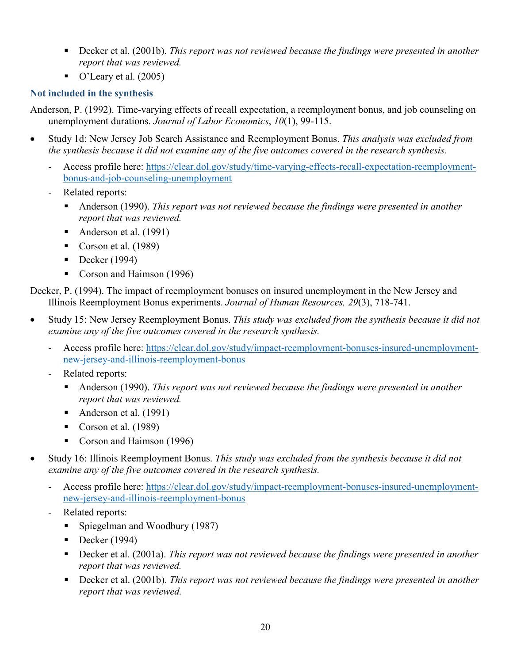- Decker et al. (2001b). *This report was not reviewed because the findings were presented in another report that was reviewed.*
- $\bullet$  O'Leary et al. (2005)

# **Not included in the synthesis**

Anderson, P. (1992). Time-varying effects of recall expectation, a reemployment bonus, and job counseling on unemployment durations. *Journal of Labor Economics*, *10*(1), 99-115.

- Study 1d: New Jersey Job Search Assistance and Reemployment Bonus. *This analysis was excluded from the synthesis because it did not examine any of the five outcomes covered in the research synthesis.*
	- Access profile here: [https://clear.dol.gov/study/time-varying-effects-recall-expectation-reemployment](https://clear.dol.gov/study/time-varying-effects-recall-expectation-reemployment-bonus-and-job-counseling-unemployment)[bonus-and-job-counseling-unemployment](https://clear.dol.gov/study/time-varying-effects-recall-expectation-reemployment-bonus-and-job-counseling-unemployment)
	- Related reports:
		- Anderson (1990). *This report was not reviewed because the findings were presented in another report that was reviewed.*
		- Anderson et al. (1991)
		- Corson et al.  $(1989)$
		- Decker  $(1994)$
		- Corson and Haimson (1996)

Decker, P. (1994). The impact of reemployment bonuses on insured unemployment in the New Jersey and Illinois Reemployment Bonus experiments. *Journal of Human Resources, 29*(3), 718-741.

- Study 15: New Jersey Reemployment Bonus. *This study was excluded from the synthesis because it did not examine any of the five outcomes covered in the research synthesis.*
	- Access profile here: [https://clear.dol.gov/study/impact-reemployment-bonuses-insured-unemployment](https://clear.dol.gov/study/impact-reemployment-bonuses-insured-unemployment-new-jersey-and-illinois-reemployment-bonus)[new-jersey-and-illinois-reemployment-bonus](https://clear.dol.gov/study/impact-reemployment-bonuses-insured-unemployment-new-jersey-and-illinois-reemployment-bonus)
	- Related reports:
		- Anderson (1990). *This report was not reviewed because the findings were presented in another report that was reviewed.*
		- Anderson et al. (1991)
		- Corson et al.  $(1989)$
		- Corson and Haimson (1996)
- Study 16: Illinois Reemployment Bonus. *This study was excluded from the synthesis because it did not examine any of the five outcomes covered in the research synthesis.*
	- Access profile here: [https://clear.dol.gov/study/impact-reemployment-bonuses-insured-unemployment](https://clear.dol.gov/study/impact-reemployment-bonuses-insured-unemployment-new-jersey-and-illinois-reemployment-bonus)[new-jersey-and-illinois-reemployment-bonus](https://clear.dol.gov/study/impact-reemployment-bonuses-insured-unemployment-new-jersey-and-illinois-reemployment-bonus)
	- Related reports:
		- **Spiegelman and Woodbury (1987)**
		- Decker  $(1994)$
		- Decker et al. (2001a). *This report was not reviewed because the findings were presented in another report that was reviewed.*
		- Decker et al. (2001b). *This report was not reviewed because the findings were presented in another report that was reviewed.*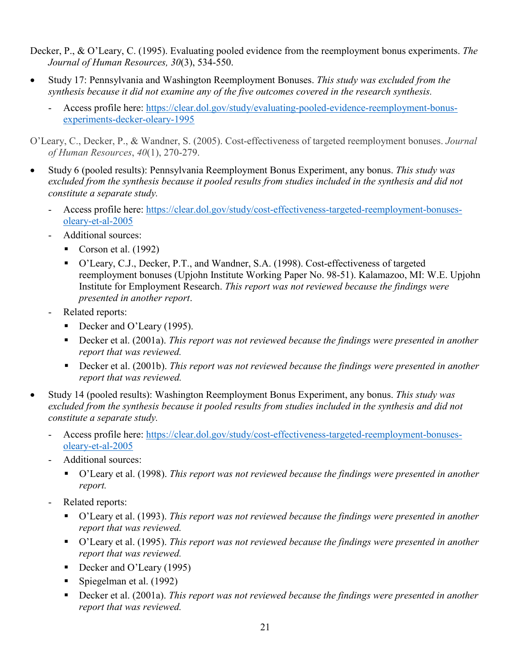Decker, P., & O'Leary, C. (1995). Evaluating pooled evidence from the reemployment bonus experiments. *The Journal of Human Resources, 30*(3), 534-550.

- Study 17: Pennsylvania and Washington Reemployment Bonuses. *This study was excluded from the synthesis because it did not examine any of the five outcomes covered in the research synthesis.*
	- Access profile here: [https://clear.dol.gov/study/evaluating-pooled-evidence-reemployment-bonus](https://clear.dol.gov/study/evaluating-pooled-evidence-reemployment-bonus-experiments-decker-oleary-1995)[experiments-decker-oleary-1995](https://clear.dol.gov/study/evaluating-pooled-evidence-reemployment-bonus-experiments-decker-oleary-1995)

O'Leary, C., Decker, P., & Wandner, S. (2005). Cost-effectiveness of targeted reemployment bonuses. *Journal of Human Resources*, *40*(1), 270-279.

- Study 6 (pooled results): Pennsylvania Reemployment Bonus Experiment, any bonus. *This study was excluded from the synthesis because it pooled results from studies included in the synthesis and did not constitute a separate study.*
	- Access profile here: [https://clear.dol.gov/study/cost-effectiveness-targeted-reemployment-bonuses](https://clear.dol.gov/study/cost-effectiveness-targeted-reemployment-bonuses-oleary-et-al-2005)[oleary-et-al-2005](https://clear.dol.gov/study/cost-effectiveness-targeted-reemployment-bonuses-oleary-et-al-2005)
	- Additional sources:
		- Corson et al.  $(1992)$
		- O'Leary, C.J., Decker, P.T., and Wandner, S.A. (1998). Cost-effectiveness of targeted reemployment bonuses (Upjohn Institute Working Paper No. 98-51). Kalamazoo, MI: W.E. Upjohn Institute for Employment Research. *This report was not reviewed because the findings were presented in another report*.
	- Related reports:
		- Decker and O'Leary (1995).
		- Decker et al. (2001a). *This report was not reviewed because the findings were presented in another report that was reviewed.*
		- Decker et al. (2001b). *This report was not reviewed because the findings were presented in another report that was reviewed.*
- Study 14 (pooled results): Washington Reemployment Bonus Experiment, any bonus. *This study was excluded from the synthesis because it pooled results from studies included in the synthesis and did not constitute a separate study.* 
	- Access profile here: [https://clear.dol.gov/study/cost-effectiveness-targeted-reemployment-bonuses](https://clear.dol.gov/study/cost-effectiveness-targeted-reemployment-bonuses-oleary-et-al-2005)[oleary-et-al-2005](https://clear.dol.gov/study/cost-effectiveness-targeted-reemployment-bonuses-oleary-et-al-2005)
	- Additional sources:
		- O'Leary et al. (1998). *This report was not reviewed because the findings were presented in another report.*
	- Related reports:
		- O'Leary et al. (1993). *This report was not reviewed because the findings were presented in another report that was reviewed.*
		- O'Leary et al. (1995). *This report was not reviewed because the findings were presented in another report that was reviewed.*
		- Decker and O'Leary (1995)
		- Spiegelman et al. (1992)
		- Decker et al. (2001a). *This report was not reviewed because the findings were presented in another report that was reviewed.*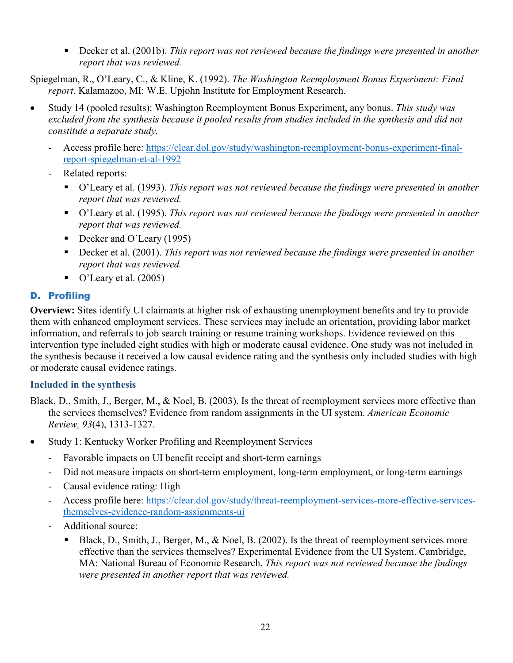■ Decker et al. (2001b). *This report was not reviewed because the findings were presented in another report that was reviewed.* 

Spiegelman, R., O'Leary, C., & Kline, K. (1992). *The Washington Reemployment Bonus Experiment: Final report*. Kalamazoo, MI: W.E. Upjohn Institute for Employment Research.

- Study 14 (pooled results): Washington Reemployment Bonus Experiment, any bonus. *This study was excluded from the synthesis because it pooled results from studies included in the synthesis and did not constitute a separate study.*
	- Access profile here: [https://clear.dol.gov/study/washington-reemployment-bonus-experiment-final](https://clear.dol.gov/study/washington-reemployment-bonus-experiment-final-report-spiegelman-et-al-1992)[report-spiegelman-et-al-1992](https://clear.dol.gov/study/washington-reemployment-bonus-experiment-final-report-spiegelman-et-al-1992)
	- Related reports:
		- O'Leary et al. (1993). *This report was not reviewed because the findings were presented in another report that was reviewed.*
		- O'Leary et al. (1995). *This report was not reviewed because the findings were presented in another report that was reviewed.*
		- Decker and O'Leary (1995)
		- Decker et al. (2001). *This report was not reviewed because the findings were presented in another report that was reviewed.*
		- $\bullet$  O'Leary et al. (2005)

## D. Profiling

**Overview:** Sites identify UI claimants at higher risk of exhausting unemployment benefits and try to provide them with enhanced employment services. These services may include an orientation, providing labor market information, and referrals to job search training or resume training workshops. Evidence reviewed on this intervention type included eight studies with high or moderate causal evidence. One study was not included in the synthesis because it received a low causal evidence rating and the synthesis only included studies with high or moderate causal evidence ratings.

## **Included in the synthesis**

Black, D., Smith, J., Berger, M., & Noel, B. (2003). Is the threat of reemployment services more effective than the services themselves? Evidence from random assignments in the UI system. *American Economic Review, 93*(4), 1313-1327.

- Study 1: Kentucky Worker Profiling and Reemployment Services
	- Favorable impacts on UI benefit receipt and short-term earnings
	- Did not measure impacts on short-term employment, long-term employment, or long-term earnings
	- Causal evidence rating: High
	- Access profile here: [https://clear.dol.gov/study/threat-reemployment-services-more-effective-services](https://clear.dol.gov/study/threat-reemployment-services-more-effective-services-themselves-evidence-random-assignments-ui)[themselves-evidence-random-assignments-ui](https://clear.dol.gov/study/threat-reemployment-services-more-effective-services-themselves-evidence-random-assignments-ui)
	- Additional source:
		- Black, D., Smith, J., Berger, M., & Noel, B. (2002). Is the threat of reemployment services more effective than the services themselves? Experimental Evidence from the UI System. Cambridge, MA: National Bureau of Economic Research. *This report was not reviewed because the findings were presented in another report that was reviewed.*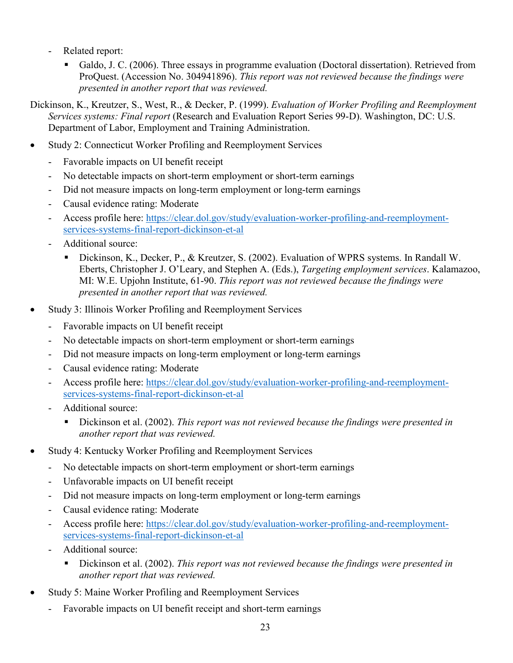- Related report:
	- Galdo, J. C. (2006). Three essays in programme evaluation (Doctoral dissertation). Retrieved from ProQuest. (Accession No. 304941896). *This report was not reviewed because the findings were presented in another report that was reviewed.*

Dickinson, K., Kreutzer, S., West, R., & Decker, P. (1999). *Evaluation of Worker Profiling and Reemployment Services systems: Final report* (Research and Evaluation Report Series 99-D). Washington, DC: U.S. Department of Labor, Employment and Training Administration.

- Study 2: Connecticut Worker Profiling and Reemployment Services
	- Favorable impacts on UI benefit receipt
	- No detectable impacts on short-term employment or short-term earnings
	- Did not measure impacts on long-term employment or long-term earnings
	- Causal evidence rating: Moderate
	- Access profile here: [https://clear.dol.gov/study/evaluation-worker-profiling-and-reemployment](https://clear.dol.gov/study/evaluation-worker-profiling-and-reemployment-services-systems-final-report-dickinson-et-al)[services-systems-final-report-dickinson-et-al](https://clear.dol.gov/study/evaluation-worker-profiling-and-reemployment-services-systems-final-report-dickinson-et-al)
	- Additional source:
		- Dickinson, K., Decker, P., & Kreutzer, S. (2002). Evaluation of WPRS systems. In Randall W. Eberts, Christopher J. O'Leary, and Stephen A. (Eds.), *Targeting employment services*. Kalamazoo, MI: W.E. Upjohn Institute, 61-90. *This report was not reviewed because the findings were presented in another report that was reviewed.*
- Study 3: Illinois Worker Profiling and Reemployment Services
	- Favorable impacts on UI benefit receipt
	- No detectable impacts on short-term employment or short-term earnings
	- Did not measure impacts on long-term employment or long-term earnings
	- Causal evidence rating: Moderate
	- Access profile here: [https://clear.dol.gov/study/evaluation-worker-profiling-and-reemployment](https://clear.dol.gov/study/evaluation-worker-profiling-and-reemployment-services-systems-final-report-dickinson-et-al)[services-systems-final-report-dickinson-et-al](https://clear.dol.gov/study/evaluation-worker-profiling-and-reemployment-services-systems-final-report-dickinson-et-al)
	- Additional source:
		- Dickinson et al. (2002). *This report was not reviewed because the findings were presented in another report that was reviewed.*
- Study 4: Kentucky Worker Profiling and Reemployment Services
	- No detectable impacts on short-term employment or short-term earnings
	- Unfavorable impacts on UI benefit receipt
	- Did not measure impacts on long-term employment or long-term earnings
	- Causal evidence rating: Moderate
	- Access profile here: [https://clear.dol.gov/study/evaluation-worker-profiling-and-reemployment](https://clear.dol.gov/study/evaluation-worker-profiling-and-reemployment-services-systems-final-report-dickinson-et-al)[services-systems-final-report-dickinson-et-al](https://clear.dol.gov/study/evaluation-worker-profiling-and-reemployment-services-systems-final-report-dickinson-et-al)
	- Additional source:
		- Dickinson et al. (2002). *This report was not reviewed because the findings were presented in another report that was reviewed.*
- Study 5: Maine Worker Profiling and Reemployment Services
	- Favorable impacts on UI benefit receipt and short-term earnings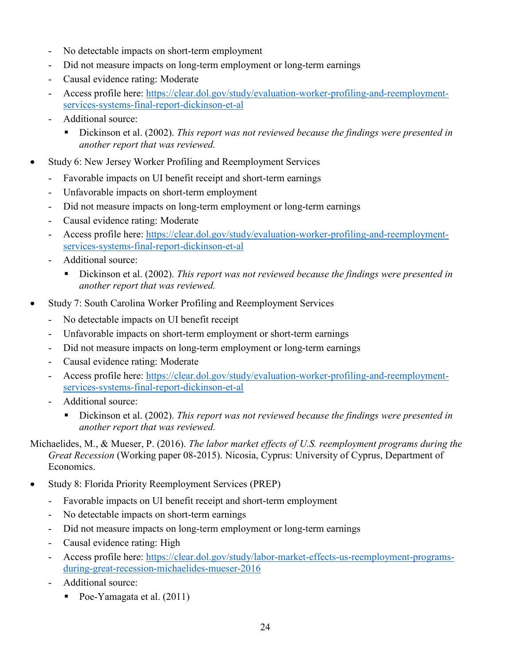- No detectable impacts on short-term employment
- Did not measure impacts on long-term employment or long-term earnings
- Causal evidence rating: Moderate
- Access profile here: [https://clear.dol.gov/study/evaluation-worker-profiling-and-reemployment](https://clear.dol.gov/study/evaluation-worker-profiling-and-reemployment-services-systems-final-report-dickinson-et-al)[services-systems-final-report-dickinson-et-al](https://clear.dol.gov/study/evaluation-worker-profiling-and-reemployment-services-systems-final-report-dickinson-et-al)
- Additional source:
	- Dickinson et al. (2002). *This report was not reviewed because the findings were presented in another report that was reviewed.*
- Study 6: New Jersey Worker Profiling and Reemployment Services
	- Favorable impacts on UI benefit receipt and short-term earnings
	- Unfavorable impacts on short-term employment
	- Did not measure impacts on long-term employment or long-term earnings
	- Causal evidence rating: Moderate
	- Access profile here: [https://clear.dol.gov/study/evaluation-worker-profiling-and-reemployment](https://clear.dol.gov/study/evaluation-worker-profiling-and-reemployment-services-systems-final-report-dickinson-et-al)[services-systems-final-report-dickinson-et-al](https://clear.dol.gov/study/evaluation-worker-profiling-and-reemployment-services-systems-final-report-dickinson-et-al)
	- Additional source:
		- Dickinson et al. (2002). *This report was not reviewed because the findings were presented in another report that was reviewed.*
- Study 7: South Carolina Worker Profiling and Reemployment Services
	- No detectable impacts on UI benefit receipt
	- Unfavorable impacts on short-term employment or short-term earnings
	- Did not measure impacts on long-term employment or long-term earnings
	- Causal evidence rating: Moderate
	- Access profile here: [https://clear.dol.gov/study/evaluation-worker-profiling-and-reemployment](https://clear.dol.gov/study/evaluation-worker-profiling-and-reemployment-services-systems-final-report-dickinson-et-al)[services-systems-final-report-dickinson-et-al](https://clear.dol.gov/study/evaluation-worker-profiling-and-reemployment-services-systems-final-report-dickinson-et-al)
	- Additional source:
		- Dickinson et al. (2002). *This report was not reviewed because the findings were presented in another report that was reviewed.*
- Michaelides, M., & Mueser, P. (2016). *The labor market effects of U.S. reemployment programs during the Great Recession* (Working paper 08-2015). Nicosia, Cyprus: University of Cyprus, Department of Economics.
- Study 8: Florida Priority Reemployment Services (PREP)
	- Favorable impacts on UI benefit receipt and short-term employment
	- No detectable impacts on short-term earnings
	- Did not measure impacts on long-term employment or long-term earnings
	- Causal evidence rating: High
	- Access profile here: [https://clear.dol.gov/study/labor-market-effects-us-reemployment-programs](https://clear.dol.gov/study/labor-market-effects-us-reemployment-programs-during-great-recession-michaelides-mueser-2016)[during-great-recession-michaelides-mueser-2016](https://clear.dol.gov/study/labor-market-effects-us-reemployment-programs-during-great-recession-michaelides-mueser-2016)
	- Additional source:
		- Poe-Yamagata et al. (2011)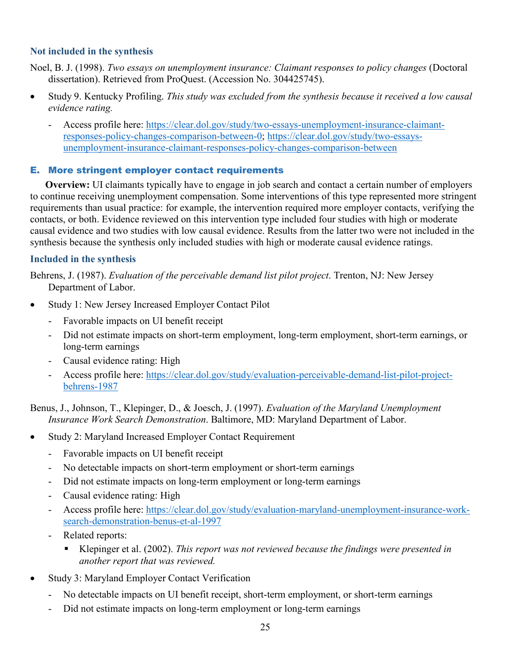## **Not included in the synthesis**

Noel, B. J. (1998). *Two essays on unemployment insurance: Claimant responses to policy changes* (Doctoral dissertation). Retrieved from ProQuest. (Accession No. 304425745).

- Study 9. Kentucky Profiling. *This study was excluded from the synthesis because it received a low causal evidence rating.*
	- Access profile here: [https://clear.dol.gov/study/two-essays-unemployment-insurance-claimant](https://clear.dol.gov/study/two-essays-unemployment-insurance-claimant-responses-policy-changes-comparison-between-0)[responses-policy-changes-comparison-between-0;](https://clear.dol.gov/study/two-essays-unemployment-insurance-claimant-responses-policy-changes-comparison-between-0) [https://clear.dol.gov/study/two-essays](https://clear.dol.gov/study/two-essays-unemployment-insurance-claimant-responses-policy-changes-comparison-between)[unemployment-insurance-claimant-responses-policy-changes-comparison-between](https://clear.dol.gov/study/two-essays-unemployment-insurance-claimant-responses-policy-changes-comparison-between)

## E. More stringent employer contact requirements

**Overview:** UI claimants typically have to engage in job search and contact a certain number of employers to continue receiving unemployment compensation. Some interventions of this type represented more stringent requirements than usual practice: for example, the intervention required more employer contacts, verifying the contacts, or both. Evidence reviewed on this intervention type included four studies with high or moderate causal evidence and two studies with low causal evidence. Results from the latter two were not included in the synthesis because the synthesis only included studies with high or moderate causal evidence ratings.

## **Included in the synthesis**

Behrens, J. (1987). *Evaluation of the perceivable demand list pilot project*. Trenton, NJ: New Jersey Department of Labor.

- Study 1: New Jersey Increased Employer Contact Pilot
	- Favorable impacts on UI benefit receipt
	- Did not estimate impacts on short-term employment, long-term employment, short-term earnings, or long-term earnings
	- Causal evidence rating: High
	- Access profile here: [https://clear.dol.gov/study/evaluation-perceivable-demand-list-pilot-project](https://clear.dol.gov/study/evaluation-perceivable-demand-list-pilot-project-behrens-1987)[behrens-1987](https://clear.dol.gov/study/evaluation-perceivable-demand-list-pilot-project-behrens-1987)

Benus, J., Johnson, T., Klepinger, D., & Joesch, J. (1997). *Evaluation of the Maryland Unemployment Insurance Work Search Demonstration*. Baltimore, MD: Maryland Department of Labor.

- Study 2: Maryland Increased Employer Contact Requirement
	- Favorable impacts on UI benefit receipt
	- No detectable impacts on short-term employment or short-term earnings
	- Did not estimate impacts on long-term employment or long-term earnings
	- Causal evidence rating: High
	- Access profile here: [https://clear.dol.gov/study/evaluation-maryland-unemployment-insurance-work](https://clear.dol.gov/study/evaluation-maryland-unemployment-insurance-work-search-demonstration-benus-et-al-1997)[search-demonstration-benus-et-al-1997](https://clear.dol.gov/study/evaluation-maryland-unemployment-insurance-work-search-demonstration-benus-et-al-1997)
	- Related reports:
		- Klepinger et al. (2002). *This report was not reviewed because the findings were presented in another report that was reviewed.*
- Study 3: Maryland Employer Contact Verification
	- No detectable impacts on UI benefit receipt, short-term employment, or short-term earnings
	- Did not estimate impacts on long-term employment or long-term earnings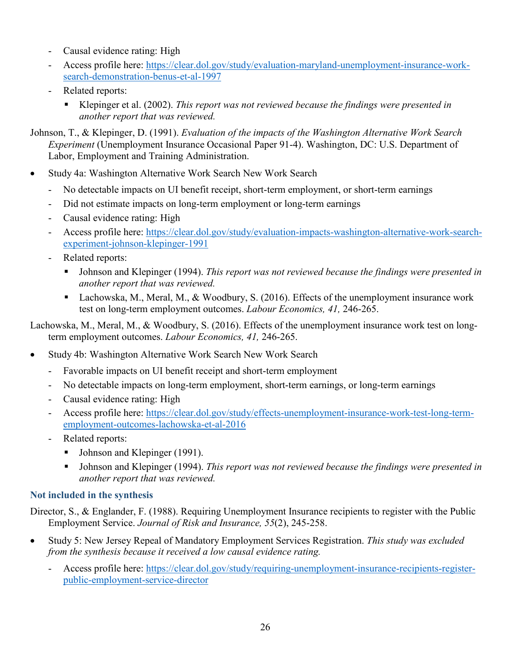- Causal evidence rating: High
- Access profile here: [https://clear.dol.gov/study/evaluation-maryland-unemployment-insurance-work](https://clear.dol.gov/study/evaluation-maryland-unemployment-insurance-work-search-demonstration-benus-et-al-1997)[search-demonstration-benus-et-al-1997](https://clear.dol.gov/study/evaluation-maryland-unemployment-insurance-work-search-demonstration-benus-et-al-1997)
- Related reports:
	- Klepinger et al. (2002). *This report was not reviewed because the findings were presented in another report that was reviewed.*

Johnson, T., & Klepinger, D. (1991). *Evaluation of the impacts of the Washington Alternative Work Search Experiment* (Unemployment Insurance Occasional Paper 91-4). Washington, DC: U.S. Department of Labor, Employment and Training Administration.

- Study 4a: Washington Alternative Work Search New Work Search
	- No detectable impacts on UI benefit receipt, short-term employment, or short-term earnings
	- Did not estimate impacts on long-term employment or long-term earnings
	- Causal evidence rating: High
	- Access profile here: [https://clear.dol.gov/study/evaluation-impacts-washington-alternative-work-search](https://clear.dol.gov/study/evaluation-impacts-washington-alternative-work-search-experiment-johnson-klepinger-1991)[experiment-johnson-klepinger-1991](https://clear.dol.gov/study/evaluation-impacts-washington-alternative-work-search-experiment-johnson-klepinger-1991)
	- Related reports:
		- Johnson and Klepinger (1994). *This report was not reviewed because the findings were presented in another report that was reviewed.*
		- Lachowska, M., Meral, M., & Woodbury, S. (2016). Effects of the unemployment insurance work test on long-term employment outcomes. *Labour Economics, 41,* 246-265.

Lachowska, M., Meral, M., & Woodbury, S. (2016). Effects of the unemployment insurance work test on longterm employment outcomes. *Labour Economics, 41,* 246-265.

- Study 4b: Washington Alternative Work Search New Work Search
	- Favorable impacts on UI benefit receipt and short-term employment
	- No detectable impacts on long-term employment, short-term earnings, or long-term earnings
	- Causal evidence rating: High
	- Access profile here: [https://clear.dol.gov/study/effects-unemployment-insurance-work-test-long-term](https://clear.dol.gov/study/effects-unemployment-insurance-work-test-long-term-employment-outcomes-lachowska-et-al-2016)[employment-outcomes-lachowska-et-al-2016](https://clear.dol.gov/study/effects-unemployment-insurance-work-test-long-term-employment-outcomes-lachowska-et-al-2016)
	- Related reports:
		- Johnson and Klepinger (1991).
		- Johnson and Klepinger (1994). *This report was not reviewed because the findings were presented in another report that was reviewed.*

# **Not included in the synthesis**

Director, S., & Englander, F. (1988). Requiring Unemployment Insurance recipients to register with the Public Employment Service. *Journal of Risk and Insurance, 55*(2), 245-258.

- Study 5: New Jersey Repeal of Mandatory Employment Services Registration. *This study was excluded from the synthesis because it received a low causal evidence rating.*
	- Access profile here: [https://clear.dol.gov/study/requiring-unemployment-insurance-recipients-register](https://clear.dol.gov/study/requiring-unemployment-insurance-recipients-register-public-employment-service-director)[public-employment-service-director](https://clear.dol.gov/study/requiring-unemployment-insurance-recipients-register-public-employment-service-director)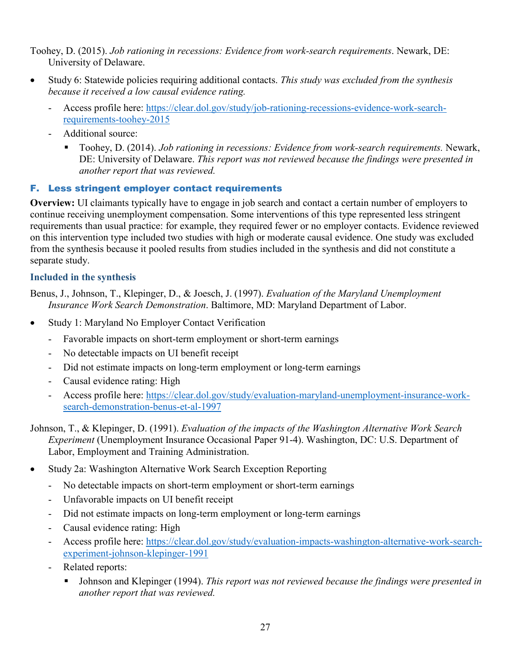Toohey, D. (2015). *Job rationing in recessions: Evidence from work-search requirements*. Newark, DE: University of Delaware.

- Study 6: Statewide policies requiring additional contacts. *This study was excluded from the synthesis because it received a low causal evidence rating.*
	- Access profile here: [https://clear.dol.gov/study/job-rationing-recessions-evidence-work-search](https://clear.dol.gov/study/job-rationing-recessions-evidence-work-search-requirements-toohey-2015)[requirements-toohey-2015](https://clear.dol.gov/study/job-rationing-recessions-evidence-work-search-requirements-toohey-2015)
	- Additional source:
		- Toohey, D. (2014). *Job rationing in recessions: Evidence from work-search requirements*. Newark, DE: University of Delaware. *This report was not reviewed because the findings were presented in another report that was reviewed.*

# F. Less stringent employer contact requirements

**Overview:** UI claimants typically have to engage in job search and contact a certain number of employers to continue receiving unemployment compensation. Some interventions of this type represented less stringent requirements than usual practice: for example, they required fewer or no employer contacts. Evidence reviewed on this intervention type included two studies with high or moderate causal evidence. One study was excluded from the synthesis because it pooled results from studies included in the synthesis and did not constitute a separate study.

# **Included in the synthesis**

Benus, J., Johnson, T., Klepinger, D., & Joesch, J. (1997). *Evaluation of the Maryland Unemployment Insurance Work Search Demonstration*. Baltimore, MD: Maryland Department of Labor.

- Study 1: Maryland No Employer Contact Verification
	- Favorable impacts on short-term employment or short-term earnings
	- No detectable impacts on UI benefit receipt
	- Did not estimate impacts on long-term employment or long-term earnings
	- Causal evidence rating: High
	- Access profile here: [https://clear.dol.gov/study/evaluation-maryland-unemployment-insurance-work](https://clear.dol.gov/study/evaluation-maryland-unemployment-insurance-work-search-demonstration-benus-et-al-1997)[search-demonstration-benus-et-al-1997](https://clear.dol.gov/study/evaluation-maryland-unemployment-insurance-work-search-demonstration-benus-et-al-1997)

Johnson, T., & Klepinger, D. (1991). *Evaluation of the impacts of the Washington Alternative Work Search Experiment* (Unemployment Insurance Occasional Paper 91-4). Washington, DC: U.S. Department of Labor, Employment and Training Administration.

- Study 2a: Washington Alternative Work Search Exception Reporting
	- No detectable impacts on short-term employment or short-term earnings
	- Unfavorable impacts on UI benefit receipt
	- Did not estimate impacts on long-term employment or long-term earnings
	- Causal evidence rating: High
	- Access profile here: [https://clear.dol.gov/study/evaluation-impacts-washington-alternative-work-search](https://clear.dol.gov/study/evaluation-impacts-washington-alternative-work-search-experiment-johnson-klepinger-1991)[experiment-johnson-klepinger-1991](https://clear.dol.gov/study/evaluation-impacts-washington-alternative-work-search-experiment-johnson-klepinger-1991)
	- Related reports:
		- Johnson and Klepinger (1994). *This report was not reviewed because the findings were presented in another report that was reviewed.*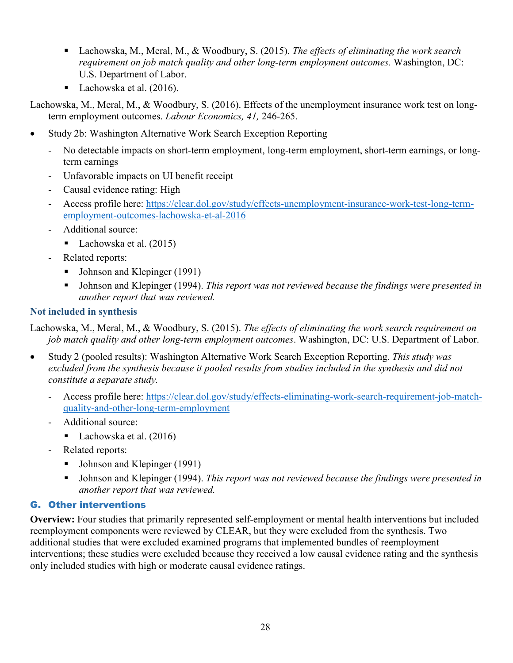- Lachowska, M., Meral, M., & Woodbury, S. (2015). *The effects of eliminating the work search requirement on job match quality and other long-term employment outcomes.* Washington, DC: U.S. Department of Labor.
- Lachowska et al. (2016).

Lachowska, M., Meral, M., & Woodbury, S. (2016). Effects of the unemployment insurance work test on longterm employment outcomes. *Labour Economics, 41,* 246-265.

- Study 2b: Washington Alternative Work Search Exception Reporting
	- No detectable impacts on short-term employment, long-term employment, short-term earnings, or longterm earnings
	- Unfavorable impacts on UI benefit receipt
	- Causal evidence rating: High
	- Access profile here: [https://clear.dol.gov/study/effects-unemployment-insurance-work-test-long-term](https://clear.dol.gov/study/effects-unemployment-insurance-work-test-long-term-employment-outcomes-lachowska-et-al-2016)[employment-outcomes-lachowska-et-al-2016](https://clear.dol.gov/study/effects-unemployment-insurance-work-test-long-term-employment-outcomes-lachowska-et-al-2016)
	- Additional source:
		- Lachowska et al.  $(2015)$
	- Related reports:
		- Johnson and Klepinger (1991)
		- Johnson and Klepinger (1994). *This report was not reviewed because the findings were presented in another report that was reviewed.*

# **Not included in synthesis**

Lachowska, M., Meral, M., & Woodbury, S. (2015). *The effects of eliminating the work search requirement on job match quality and other long-term employment outcomes*. Washington, DC: U.S. Department of Labor.

- Study 2 (pooled results): Washington Alternative Work Search Exception Reporting. *This study was excluded from the synthesis because it pooled results from studies included in the synthesis and did not constitute a separate study.*
	- Access profile here: [https://clear.dol.gov/study/effects-eliminating-work-search-requirement-job-match](https://clear.dol.gov/study/effects-eliminating-work-search-requirement-job-match-quality-and-other-long-term-employment)[quality-and-other-long-term-employment](https://clear.dol.gov/study/effects-eliminating-work-search-requirement-job-match-quality-and-other-long-term-employment)
	- Additional source:
		- Lachowska et al.  $(2016)$
	- Related reports:
		- Johnson and Klepinger (1991)
		- Johnson and Klepinger (1994). *This report was not reviewed because the findings were presented in another report that was reviewed.*

# G. Other interventions

**Overview:** Four studies that primarily represented self-employment or mental health interventions but included reemployment components were reviewed by CLEAR, but they were excluded from the synthesis. Two additional studies that were excluded examined programs that implemented bundles of reemployment interventions; these studies were excluded because they received a low causal evidence rating and the synthesis only included studies with high or moderate causal evidence ratings.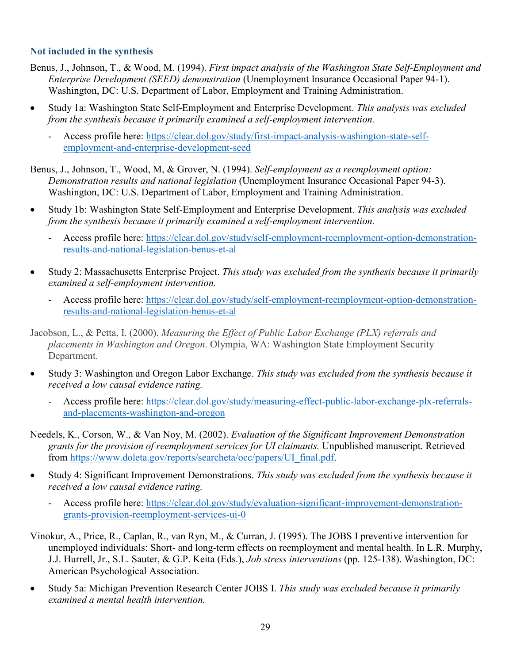#### **Not included in the synthesis**

- Benus, J., Johnson, T., & Wood, M. (1994). *First impact analysis of the Washington State Self-Employment and Enterprise Development (SEED) demonstration* (Unemployment Insurance Occasional Paper 94-1). Washington, DC: U.S. Department of Labor, Employment and Training Administration.
- Study 1a: Washington State Self-Employment and Enterprise Development. *This analysis was excluded from the synthesis because it primarily examined a self-employment intervention.*

- Access profile here: [https://clear.dol.gov/study/first-impact-analysis-washington-state-self](https://clear.dol.gov/study/first-impact-analysis-washington-state-self-employment-and-enterprise-development-seed)[employment-and-enterprise-development-seed](https://clear.dol.gov/study/first-impact-analysis-washington-state-self-employment-and-enterprise-development-seed) 

Benus, J., Johnson, T., Wood, M, & Grover, N. (1994). *Self-employment as a reemployment option: Demonstration results and national legislation* (Unemployment Insurance Occasional Paper 94-3). Washington, DC: U.S. Department of Labor, Employment and Training Administration.

- Study 1b: Washington State Self-Employment and Enterprise Development. *This analysis was excluded from the synthesis because it primarily examined a self-employment intervention.*
	- Access profile here: [https://clear.dol.gov/study/self-employment-reemployment-option-demonstration](https://clear.dol.gov/study/self-employment-reemployment-option-demonstration-results-and-national-legislation-benus-et-al)[results-and-national-legislation-benus-et-al](https://clear.dol.gov/study/self-employment-reemployment-option-demonstration-results-and-national-legislation-benus-et-al)
- Study 2: Massachusetts Enterprise Project. *This study was excluded from the synthesis because it primarily examined a self-employment intervention.*
	- Access profile here: [https://clear.dol.gov/study/self-employment-reemployment-option-demonstration](https://clear.dol.gov/study/self-employment-reemployment-option-demonstration-results-and-national-legislation-benus-et-al)[results-and-national-legislation-benus-et-al](https://clear.dol.gov/study/self-employment-reemployment-option-demonstration-results-and-national-legislation-benus-et-al)

Jacobson, L., & Petta, I. (2000). *Measuring the Effect of Public Labor Exchange (PLX) referrals and placements in Washington and Oregon*. Olympia, WA: Washington State Employment Security Department.

- Study 3: Washington and Oregon Labor Exchange. *This study was excluded from the synthesis because it received a low causal evidence rating.*
	- Access profile here: [https://clear.dol.gov/study/measuring-effect-public-labor-exchange-plx-referrals](https://clear.dol.gov/study/measuring-effect-public-labor-exchange-plx-referrals-and-placements-washington-and-oregon)[and-placements-washington-and-oregon](https://clear.dol.gov/study/measuring-effect-public-labor-exchange-plx-referrals-and-placements-washington-and-oregon)

Needels, K., Corson, W., & Van Noy, M. (2002). *Evaluation of the Significant Improvement Demonstration grants for the provision of reemployment services for UI claimants.* Unpublished manuscript. Retrieved from [https://www.doleta.gov/reports/searcheta/occ/papers/UI\\_final.pdf.](https://www.doleta.gov/reports/searcheta/occ/papers/UI_final.pdf)

- Study 4: Significant Improvement Demonstrations. *This study was excluded from the synthesis because it received a low causal evidence rating.*
	- Access profile here: [https://clear.dol.gov/study/evaluation-significant-improvement-demonstration](https://clear.dol.gov/study/evaluation-significant-improvement-demonstration-grants-provision-reemployment-services-ui-0)[grants-provision-reemployment-services-ui-0](https://clear.dol.gov/study/evaluation-significant-improvement-demonstration-grants-provision-reemployment-services-ui-0)
- Vinokur, A., Price, R., Caplan, R., van Ryn, M., & Curran, J. (1995). The JOBS I preventive intervention for unemployed individuals: Short- and long-term effects on reemployment and mental health. In L.R. Murphy, J.J. Hurrell, Jr., S.L. Sauter, & G.P. Keita (Eds.), *Job stress interventions* (pp. 125-138). Washington, DC: American Psychological Association.
- Study 5a: Michigan Prevention Research Center JOBS I. *This study was excluded because it primarily examined a mental health intervention.*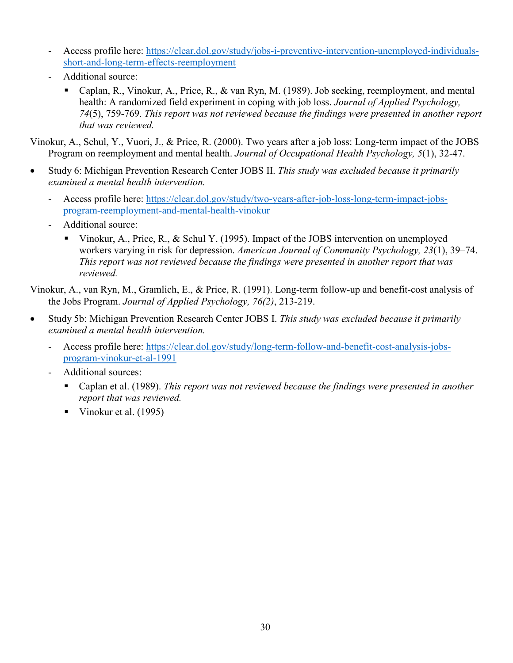- Access profile here: [https://clear.dol.gov/study/jobs-i-preventive-intervention-unemployed-individuals](https://clear.dol.gov/study/jobs-i-preventive-intervention-unemployed-individuals-short-and-long-term-effects-reemployment)[short-and-long-term-effects-reemployment](https://clear.dol.gov/study/jobs-i-preventive-intervention-unemployed-individuals-short-and-long-term-effects-reemployment)
- Additional source:
	- Caplan, R., Vinokur, A., Price, R., & van Ryn, M. (1989). Job seeking, reemployment, and mental health: A randomized field experiment in coping with job loss. *Journal of Applied Psychology, 74*(5), 759-769. *This report was not reviewed because the findings were presented in another report that was reviewed.*

Vinokur, A., Schul, Y., Vuori, J., & Price, R. (2000). Two years after a job loss: Long-term impact of the JOBS Program on reemployment and mental health. *Journal of Occupational Health Psychology, 5*(1), 32-47.

- Study 6: Michigan Prevention Research Center JOBS II. *This study was excluded because it primarily examined a mental health intervention.*
	- Access profile here: [https://clear.dol.gov/study/two-years-after-job-loss-long-term-impact-jobs](https://clear.dol.gov/study/two-years-after-job-loss-long-term-impact-jobs-program-reemployment-and-mental-health-vinokur)[program-reemployment-and-mental-health-vinokur](https://clear.dol.gov/study/two-years-after-job-loss-long-term-impact-jobs-program-reemployment-and-mental-health-vinokur)
	- Additional source:
		- Vinokur, A., Price, R., & Schul Y. (1995). Impact of the JOBS intervention on unemployed workers varying in risk for depression. *American Journal of Community Psychology, 23*(1), 39–74. *This report was not reviewed because the findings were presented in another report that was reviewed.*

Vinokur, A., van Ryn, M., Gramlich, E., & Price, R. (1991). Long-term follow-up and benefit-cost analysis of the Jobs Program. *Journal of Applied Psychology, 76(2)*, 213-219.

- Study 5b: Michigan Prevention Research Center JOBS I. *This study was excluded because it primarily examined a mental health intervention.*
	- Access profile here: [https://clear.dol.gov/study/long-term-follow-and-benefit-cost-analysis-jobs](https://clear.dol.gov/study/long-term-follow-and-benefit-cost-analysis-jobs-program-vinokur-et-al-1991)[program-vinokur-et-al-1991](https://clear.dol.gov/study/long-term-follow-and-benefit-cost-analysis-jobs-program-vinokur-et-al-1991)
	- Additional sources:
		- Caplan et al. (1989). *This report was not reviewed because the findings were presented in another report that was reviewed.*
		- Vinokur et al.  $(1995)$